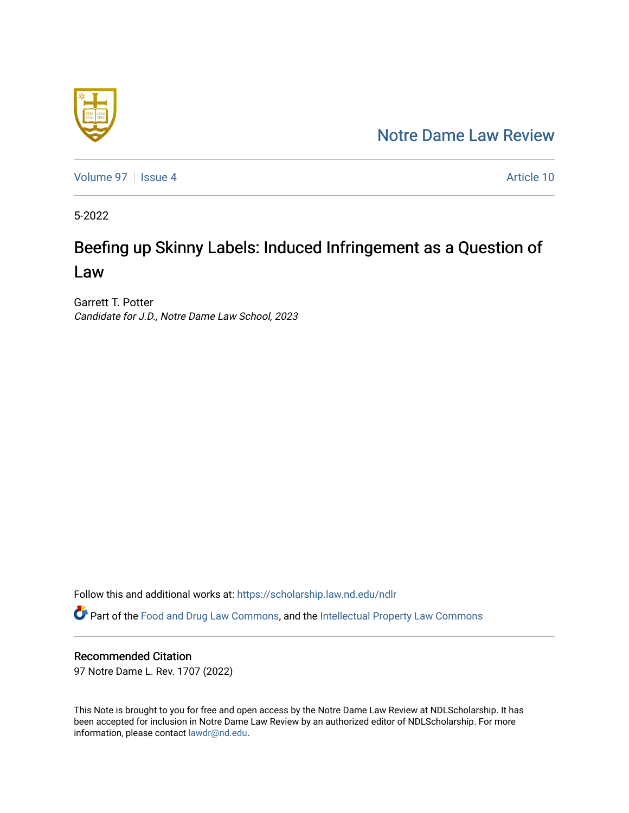# [Notre Dame Law Review](https://scholarship.law.nd.edu/ndlr)



[Volume 97](https://scholarship.law.nd.edu/ndlr/vol97) | [Issue 4](https://scholarship.law.nd.edu/ndlr/vol97/iss4) Article 10

5-2022

# Beefing up Skinny Labels: Induced Infringement as a Question of Law

Garrett T. Potter Candidate for J.D., Notre Dame Law School, 2023

Follow this and additional works at: [https://scholarship.law.nd.edu/ndlr](https://scholarship.law.nd.edu/ndlr?utm_source=scholarship.law.nd.edu%2Fndlr%2Fvol97%2Fiss4%2F10&utm_medium=PDF&utm_campaign=PDFCoverPages) Part of the [Food and Drug Law Commons,](https://network.bepress.com/hgg/discipline/844?utm_source=scholarship.law.nd.edu%2Fndlr%2Fvol97%2Fiss4%2F10&utm_medium=PDF&utm_campaign=PDFCoverPages) and the [Intellectual Property Law Commons](https://network.bepress.com/hgg/discipline/896?utm_source=scholarship.law.nd.edu%2Fndlr%2Fvol97%2Fiss4%2F10&utm_medium=PDF&utm_campaign=PDFCoverPages)

## Recommended Citation

97 Notre Dame L. Rev. 1707 (2022)

This Note is brought to you for free and open access by the Notre Dame Law Review at NDLScholarship. It has been accepted for inclusion in Notre Dame Law Review by an authorized editor of NDLScholarship. For more information, please contact [lawdr@nd.edu.](mailto:lawdr@nd.edu)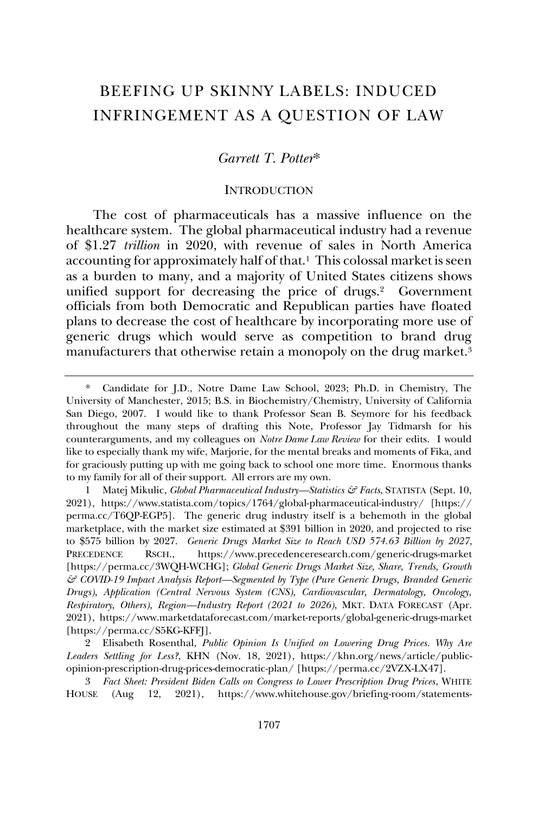# BEEFING UP SKINNY LABELS: INDUCED INFRINGEMENT AS A QUESTION OF LAW

### *Garrett T. Potter*\*

#### **INTRODUCTION**

The cost of pharmaceuticals has a massive influence on the healthcare system. The global pharmaceutical industry had a revenue of \$1.27 *trillion* in 2020, with revenue of sales in North America accounting for approximately half of that.<sup>1</sup> This colossal market is seen as a burden to many, and a majority of United States citizens shows unified support for decreasing the price of drugs.<sup>2</sup> Government officials from both Democratic and Republican parties have floated plans to decrease the cost of healthcare by incorporating more use of generic drugs which would serve as competition to brand drug manufacturers that otherwise retain a monopoly on the drug market.<sup>3</sup>

2 Elisabeth Rosenthal, *Public Opinion Is Unified on Lowering Drug Prices. Why Are Leaders Settling for Less?*, KHN (Nov. 18, 2021), https://khn.org/news/article/publicopinion-prescription-drug-prices-democratic-plan/ [https://perma.cc/2VZX-LX47].

3 *Fact Sheet: President Biden Calls on Congress to Lower Prescription Drug Prices*, WHITE HOUSE (Aug 12, 2021), https://www.whitehouse.gov/briefing-room/statements-

Candidate for J.D., Notre Dame Law School, 2023; Ph.D. in Chemistry, The University of Manchester, 2015; B.S. in Biochemistry/Chemistry, University of California San Diego, 2007. I would like to thank Professor Sean B. Seymore for his feedback throughout the many steps of drafting this Note, Professor Jay Tidmarsh for his counterarguments, and my colleagues on *Notre Dame Law Review* for their edits. I would like to especially thank my wife, Marjorie, for the mental breaks and moments of Fika, and for graciously putting up with me going back to school one more time. Enormous thanks to my family for all of their support. All errors are my own.

<sup>1</sup> Matej Mikulic, *Global Pharmaceutical Industry—Statistics & Facts*, STATISTA (Sept. 10, 2021), https://www.statista.com/topics/1764/global-pharmaceutical-industry/ [https:// perma.cc/T6QP-EGP5]. The generic drug industry itself is a behemoth in the global marketplace, with the market size estimated at \$391 billion in 2020, and projected to rise to \$575 billion by 2027. *Generic Drugs Market Size to Reach USD 574.63 Billion by 2027*, PRECEDENCE RSCH., https://www.precedenceresearch.com/generic-drugs-market [https://perma.cc/3WQH-WCHG]; *Global Generic Drugs Market Size, Share, Trends, Growth & COVID-19 Impact Analysis Report—Segmented by Type (Pure Generic Drugs, Branded Generic Drugs), Application (Central Nervous System (CNS), Cardiovascular, Dermatology, Oncology, Respiratory, Others), Region—Industry Report (2021 to 2026)*, MKT. DATA FORECAST (Apr. 2021), https://www.marketdataforecast.com/market-reports/global-generic-drugs-market [https://perma.cc/S5KG-KFFJ].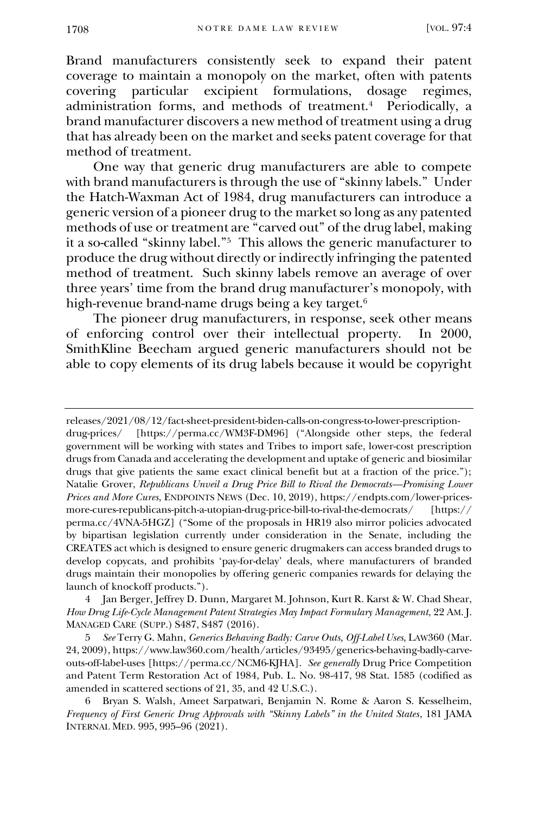Brand manufacturers consistently seek to expand their patent coverage to maintain a monopoly on the market, often with patents covering particular excipient formulations, dosage regimes, particular excipient formulations, dosage administration forms, and methods of treatment.<sup>4</sup> Periodically, a brand manufacturer discovers a new method of treatment using a drug that has already been on the market and seeks patent coverage for that method of treatment.

One way that generic drug manufacturers are able to compete with brand manufacturers is through the use of "skinny labels." Under the Hatch-Waxman Act of 1984, drug manufacturers can introduce a generic version of a pioneer drug to the market so long as any patented methods of use or treatment are "carved out" of the drug label, making it a so-called "skinny label."<sup>5</sup> This allows the generic manufacturer to produce the drug without directly or indirectly infringing the patented method of treatment. Such skinny labels remove an average of over three years' time from the brand drug manufacturer's monopoly, with high-revenue brand-name drugs being a key target.<sup>6</sup>

The pioneer drug manufacturers, in response, seek other means of enforcing control over their intellectual property. In 2000, SmithKline Beecham argued generic manufacturers should not be able to copy elements of its drug labels because it would be copyright

4 Jan Berger, Jeffrey D. Dunn, Margaret M. Johnson, Kurt R. Karst & W. Chad Shear, *How Drug Life-Cycle Management Patent Strategies May Impact Formulary Management*, 22 AM. J. MANAGED CARE (SUPP.) S487, S487 (2016).

5 *See* Terry G. Mahn, *Generics Behaving Badly: Carve Outs, Off-Label Uses*, LAW360 (Mar. 24, 2009), https://www.law360.com/health/articles/93495/generics-behaving-badly-carveouts-off-label-uses [https://perma.cc/NCM6-KJHA]. *See generally* Drug Price Competition and Patent Term Restoration Act of 1984, Pub. L. No. 98-417, 98 Stat. 1585 (codified as amended in scattered sections of 21, 35, and 42 U.S.C.).

6 Bryan S. Walsh, Ameet Sarpatwari, Benjamin N. Rome & Aaron S. Kesselheim, *Frequency of First Generic Drug Approvals with "Skinny Labels" in the United States*, 181 JAMA INTERNAL MED. 995, 995–96 (2021).

releases/2021/08/12/fact-sheet-president-biden-calls-on-congress-to-lower-prescriptiondrug-prices/ [https://perma.cc/WM3F-DM96] ("Alongside other steps, the federal government will be working with states and Tribes to import safe, lower-cost prescription drugs from Canada and accelerating the development and uptake of generic and biosimilar drugs that give patients the same exact clinical benefit but at a fraction of the price."); Natalie Grover, *Republicans Unveil a Drug Price Bill to Rival the Democrats—Promising Lower Prices and More Cures*, ENDPOINTS NEWS (Dec. 10, 2019), https://endpts.com/lower-pricesmore-cures-republicans-pitch-a-utopian-drug-price-bill-to-rival-the-democrats/ [https:// perma.cc/4VNA-5HGZ] ("Some of the proposals in HR19 also mirror policies advocated by bipartisan legislation currently under consideration in the Senate, including the CREATES act which is designed to ensure generic drugmakers can access branded drugs to develop copycats, and prohibits 'pay-for-delay' deals, where manufacturers of branded drugs maintain their monopolies by offering generic companies rewards for delaying the launch of knockoff products.").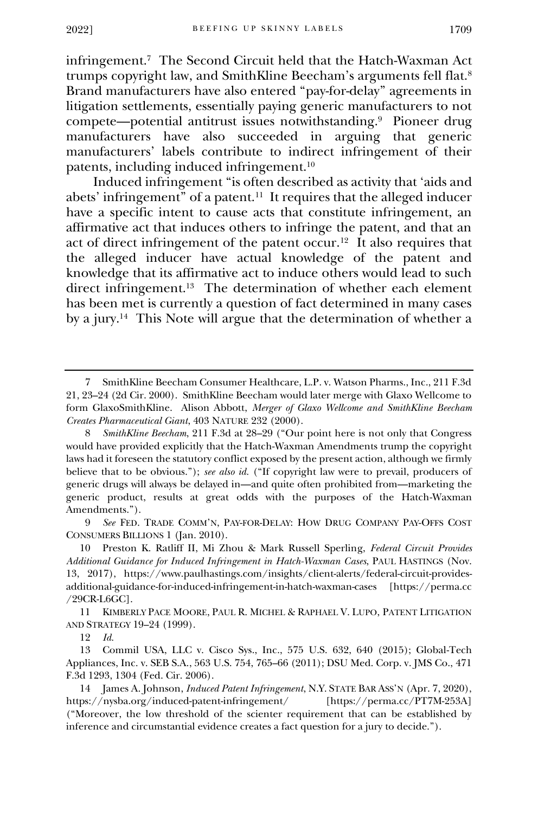infringement.<sup>7</sup> The Second Circuit held that the Hatch-Waxman Act trumps copyright law, and SmithKline Beecham's arguments fell flat.<sup>8</sup> Brand manufacturers have also entered "pay-for-delay" agreements in litigation settlements, essentially paying generic manufacturers to not compete—potential antitrust issues notwithstanding.<sup>9</sup> Pioneer drug manufacturers have also succeeded in arguing that generic manufacturers' labels contribute to indirect infringement of their patents, including induced infringement.<sup>10</sup>

Induced infringement "is often described as activity that 'aids and abets' infringement" of a patent.<sup>11</sup> It requires that the alleged inducer have a specific intent to cause acts that constitute infringement, an affirmative act that induces others to infringe the patent, and that an act of direct infringement of the patent occur.<sup>12</sup> It also requires that the alleged inducer have actual knowledge of the patent and knowledge that its affirmative act to induce others would lead to such direct infringement.<sup>13</sup> The determination of whether each element has been met is currently a question of fact determined in many cases by a jury.<sup>14</sup> This Note will argue that the determination of whether a

9 *See* FED. TRADE COMM'N, PAY-FOR-DELAY: HOW DRUG COMPANY PAY-OFFS COST CONSUMERS BILLIONS 1 (Jan. 2010).

11 KIMBERLY PACE MOORE, PAUL R. MICHEL & RAPHAEL V. LUPO, PATENT LITIGATION AND STRATEGY 19–24 (1999).

12 *Id.*

13 Commil USA, LLC v. Cisco Sys., Inc., 575 U.S. 632, 640 (2015); Global-Tech Appliances, Inc. v. SEB S.A., 563 U.S. 754, 765–66 (2011); DSU Med. Corp. v. JMS Co., 471 F.3d 1293, 1304 (Fed. Cir. 2006).

14 James A. Johnson, *Induced Patent Infringement*, N.Y. STATE BAR ASS'N (Apr. 7, 2020), https://nysba.org/induced-patent-infringement/ [https://perma.cc/PT7M-253A] ("Moreover, the low threshold of the scienter requirement that can be established by inference and circumstantial evidence creates a fact question for a jury to decide.").

<sup>7</sup> SmithKline Beecham Consumer Healthcare, L.P. v. Watson Pharms., Inc., 211 F.3d 21, 23–24 (2d Cir. 2000). SmithKline Beecham would later merge with Glaxo Wellcome to form GlaxoSmithKline. Alison Abbott, *Merger of Glaxo Wellcome and SmithKline Beecham Creates Pharmaceutical Giant*, 403 NATURE 232 (2000).

<sup>8</sup> *SmithKline Beecham*, 211 F.3d at 28–29 ("Our point here is not only that Congress would have provided explicitly that the Hatch-Waxman Amendments trump the copyright laws had it foreseen the statutory conflict exposed by the present action, although we firmly believe that to be obvious."); *see also id.* ("If copyright law were to prevail, producers of generic drugs will always be delayed in—and quite often prohibited from—marketing the generic product, results at great odds with the purposes of the Hatch-Waxman Amendments.").

<sup>10</sup> Preston K. Ratliff II, Mi Zhou & Mark Russell Sperling, *Federal Circuit Provides Additional Guidance for Induced Infringement in Hatch-Waxman Cases*, PAUL HASTINGS (Nov. 13, 2017), https://www.paulhastings.com/insights/client-alerts/federal-circuit-providesadditional-guidance-for-induced-infringement-in-hatch-waxman-cases [https://perma.cc /29CR-L6GC].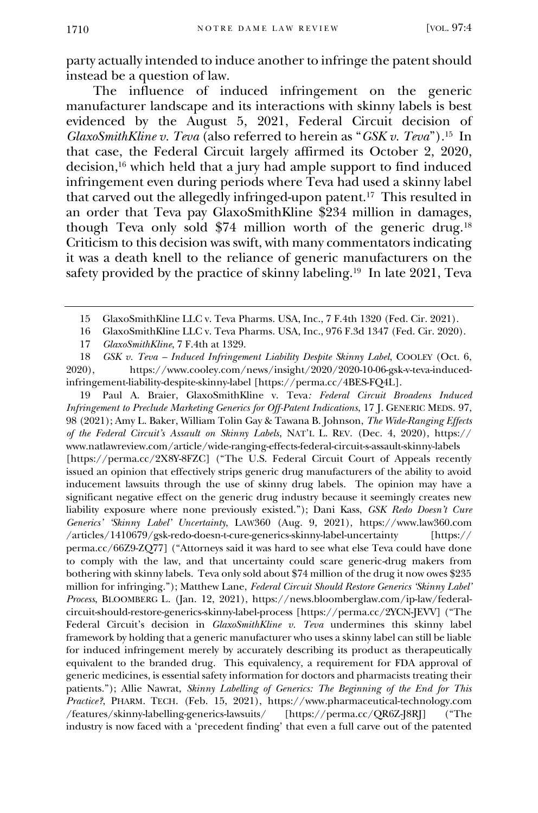party actually intended to induce another to infringe the patent should instead be a question of law.

The influence of induced infringement on the generic manufacturer landscape and its interactions with skinny labels is best evidenced by the August 5, 2021, Federal Circuit decision of *GlaxoSmithKline v. Teva* (also referred to herein as "*GSK v. Teva*").<sup>15</sup> In that case, the Federal Circuit largely affirmed its October 2, 2020, decision,<sup>16</sup> which held that a jury had ample support to find induced infringement even during periods where Teva had used a skinny label that carved out the allegedly infringed-upon patent.<sup>17</sup> This resulted in an order that Teva pay GlaxoSmithKline \$234 million in damages, though Teva only sold \$74 million worth of the generic drug.<sup>18</sup> Criticism to this decision was swift, with many commentators indicating it was a death knell to the reliance of generic manufacturers on the safety provided by the practice of skinny labeling.<sup>19</sup> In late 2021, Teva

- 16 GlaxoSmithKline LLC v. Teva Pharms. USA, Inc., 976 F.3d 1347 (Fed. Cir. 2020).
- 17 *GlaxoSmithKline*, 7 F.4th at 1329.

18 *GSK v. Teva – Induced Infringement Liability Despite Skinny Label*, COOLEY (Oct. 6, 2020), https://www.cooley.com/news/insight/2020/2020-10-06-gsk-v-teva-inducedinfringement-liability-despite-skinny-label [https://perma.cc/4BES-FQ4L].

19 Paul A. Braier, GlaxoSmithKline v. Teva*: Federal Circuit Broadens Induced Infringement to Preclude Marketing Generics for Off-Patent Indications*, 17 J. GENERIC MEDS. 97, 98 (2021); Amy L. Baker, William Tolin Gay & Tawana B. Johnson, *The Wide-Ranging Effects of the Federal Circuit's Assault on Skinny Labels*, NAT'L L. REV. (Dec. 4, 2020), https:// www.natlawreview.com/article/wide-ranging-effects-federal-circuit-s-assault-skinny-labels [https://perma.cc/2X8Y-8FZC] ("The U.S. Federal Circuit Court of Appeals recently issued an opinion that effectively strips generic drug manufacturers of the ability to avoid inducement lawsuits through the use of skinny drug labels. The opinion may have a significant negative effect on the generic drug industry because it seemingly creates new liability exposure where none previously existed."); Dani Kass, *GSK Redo Doesn't Cure Generics' 'Skinny Label' Uncertainty*, LAW360 (Aug. 9, 2021), https://www.law360.com /articles/1410679/gsk-redo-doesn-t-cure-generics-skinny-label-uncertainty [https:// perma.cc/66Z9-ZQ77] ("Attorneys said it was hard to see what else Teva could have done to comply with the law, and that uncertainty could scare generic-drug makers from bothering with skinny labels. Teva only sold about \$74 million of the drug it now owes \$235 million for infringing."); Matthew Lane, *Federal Circuit Should Restore Generics 'Skinny Label' Process*, BLOOMBERG L. (Jan. 12, 2021), https://news.bloomberglaw.com/ip-law/federalcircuit-should-restore-generics-skinny-label-process [https://perma.cc/2YCN-JEVV] ("The Federal Circuit's decision in *GlaxoSmithKline v. Teva* undermines this skinny label framework by holding that a generic manufacturer who uses a skinny label can still be liable for induced infringement merely by accurately describing its product as therapeutically equivalent to the branded drug. This equivalency, a requirement for FDA approval of generic medicines, is essential safety information for doctors and pharmacists treating their patients."); Allie Nawrat, *Skinny Labelling of Generics: The Beginning of the End for This Practice?*, PHARM. TECH. (Feb. 15, 2021), https://www.pharmaceutical-technology.com /features/skinny-labelling-generics-lawsuits/ [https://perma.cc/QR6Z-J8RJ] ("The industry is now faced with a 'precedent finding' that even a full carve out of the patented

<sup>15</sup> GlaxoSmithKline LLC v. Teva Pharms. USA, Inc., 7 F.4th 1320 (Fed. Cir. 2021).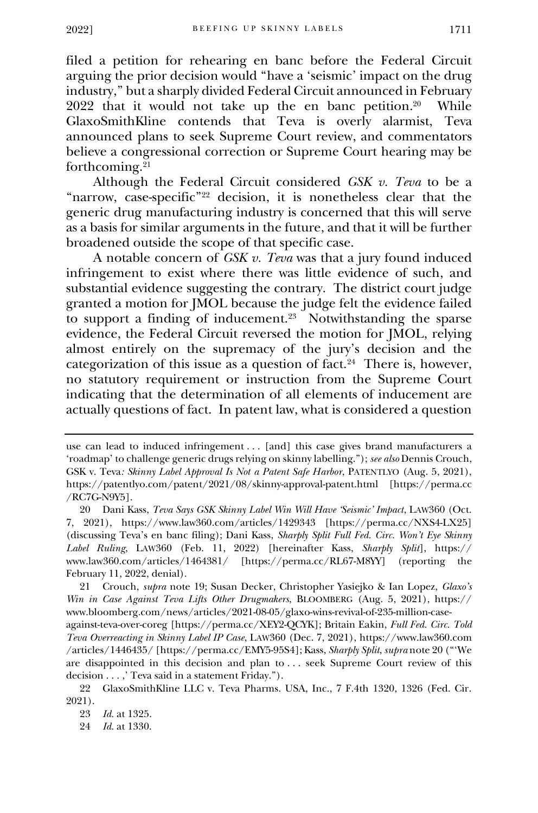filed a petition for rehearing en banc before the Federal Circuit arguing the prior decision would "have a 'seismic' impact on the drug industry," but a sharply divided Federal Circuit announced in February 2022 that it would not take up the en banc petition.<sup>20</sup> While GlaxoSmithKline contends that Teva is overly alarmist, Teva announced plans to seek Supreme Court review, and commentators believe a congressional correction or Supreme Court hearing may be forthcoming.<sup>21</sup>

Although the Federal Circuit considered *GSK v. Teva* to be a "narrow, case-specific"<sup>22</sup> decision, it is nonetheless clear that the generic drug manufacturing industry is concerned that this will serve as a basis for similar arguments in the future, and that it will be further broadened outside the scope of that specific case.

A notable concern of *GSK v. Teva* was that a jury found induced infringement to exist where there was little evidence of such, and substantial evidence suggesting the contrary. The district court judge granted a motion for JMOL because the judge felt the evidence failed to support a finding of inducement.<sup>23</sup> Notwithstanding the sparse evidence, the Federal Circuit reversed the motion for JMOL, relying almost entirely on the supremacy of the jury's decision and the categorization of this issue as a question of fact.<sup>24</sup> There is, however, no statutory requirement or instruction from the Supreme Court indicating that the determination of all elements of inducement are actually questions of fact. In patent law, what is considered a question

21 Crouch, *supra* note 19; Susan Decker, Christopher Yasiejko & Ian Lopez, *Glaxo's Win in Case Against Teva Lifts Other Drugmakers*, BLOOMBERG (Aug. 5, 2021), https:// www.bloomberg.com/news/articles/2021-08-05/glaxo-wins-revival-of-235-million-case-

against-teva-over-coreg [https://perma.cc/XEY2-QCYK]; Britain Eakin, *Full Fed. Circ. Told Teva Overreacting in Skinny Label IP Case*, LAW360 (Dec. 7, 2021), https://www.law360.com /articles/1446435/ [https://perma.cc/EMY5-95S4]; Kass, *Sharply Split*, *supra* note 20 ("'We are disappointed in this decision and plan to . . . seek Supreme Court review of this decision . . . ,' Teva said in a statement Friday.").

22 GlaxoSmithKline LLC v. Teva Pharms. USA, Inc., 7 F.4th 1320, 1326 (Fed. Cir. 2021).

24 *Id.* at 1330.

use can lead to induced infringement . . . [and] this case gives brand manufacturers a 'roadmap' to challenge generic drugs relying on skinny labelling."); *see also* Dennis Crouch, GSK v. Teva*: Skinny Label Approval Is Not a Patent Safe Harbor*, PATENTLYO (Aug. 5, 2021), https://patentlyo.com/patent/2021/08/skinny-approval-patent.html [https://perma.cc /RC7G-N9Y5].

<sup>20</sup> Dani Kass, *Teva Says GSK Skinny Label Win Will Have 'Seismic' Impact*, LAW360 (Oct. 7, 2021), https://www.law360.com/articles/1429343 [https://perma.cc/NXS4-LX25] (discussing Teva's en banc filing); Dani Kass, *Sharply Split Full Fed. Circ. Won't Eye Skinny Label Ruling*, LAW360 (Feb. 11, 2022) [hereinafter Kass, *Sharply Split*], https:// www.law360.com/articles/1464381/ [https://perma.cc/RL67-M8YY] (reporting the February 11, 2022, denial).

<sup>23</sup> *Id.* at 1325.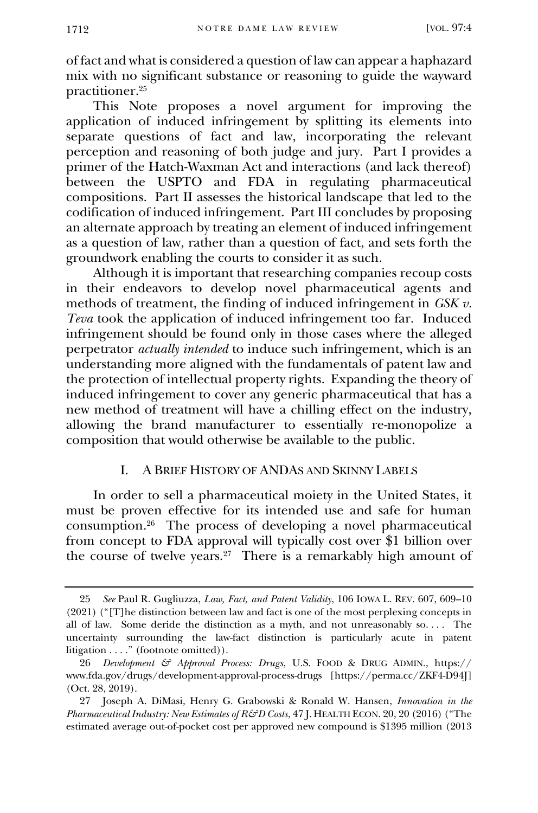of fact and what is considered a question of law can appear a haphazard mix with no significant substance or reasoning to guide the wayward practitioner.<sup>25</sup>

This Note proposes a novel argument for improving the application of induced infringement by splitting its elements into separate questions of fact and law, incorporating the relevant perception and reasoning of both judge and jury. Part I provides a primer of the Hatch-Waxman Act and interactions (and lack thereof) between the USPTO and FDA in regulating pharmaceutical compositions. Part II assesses the historical landscape that led to the codification of induced infringement. Part III concludes by proposing an alternate approach by treating an element of induced infringement as a question of law, rather than a question of fact, and sets forth the groundwork enabling the courts to consider it as such.

Although it is important that researching companies recoup costs in their endeavors to develop novel pharmaceutical agents and methods of treatment, the finding of induced infringement in *GSK v. Teva* took the application of induced infringement too far. Induced infringement should be found only in those cases where the alleged perpetrator *actually intended* to induce such infringement, which is an understanding more aligned with the fundamentals of patent law and the protection of intellectual property rights. Expanding the theory of induced infringement to cover any generic pharmaceutical that has a new method of treatment will have a chilling effect on the industry, allowing the brand manufacturer to essentially re-monopolize a composition that would otherwise be available to the public.

#### I. A BRIEF HISTORY OF ANDAS AND SKINNY LABELS

In order to sell a pharmaceutical moiety in the United States, it must be proven effective for its intended use and safe for human consumption.<sup>26</sup> The process of developing a novel pharmaceutical from concept to FDA approval will typically cost over \$1 billion over the course of twelve years.<sup>27</sup> There is a remarkably high amount of

<sup>25</sup> *See* Paul R. Gugliuzza, *Law, Fact, and Patent Validity*, 106 IOWA L. REV. 607, 609–10 (2021) ("[T]he distinction between law and fact is one of the most perplexing concepts in all of law. Some deride the distinction as a myth, and not unreasonably  $so...$  The uncertainty surrounding the law-fact distinction is particularly acute in patent litigation . . . ." (footnote omitted)).

<sup>26</sup> *Development & Approval Process: Drugs*, U.S. FOOD & DRUG ADMIN., https:// www.fda.gov/drugs/development-approval-process-drugs [https://perma.cc/ZKF4-D94J] (Oct. 28, 2019).

<sup>27</sup> Joseph A. DiMasi, Henry G. Grabowski & Ronald W. Hansen, *Innovation in the Pharmaceutical Industry: New Estimates of R&D Costs*, 47 J. HEALTH ECON. 20, 20 (2016) ("The estimated average out-of-pocket cost per approved new compound is \$1395 million (2013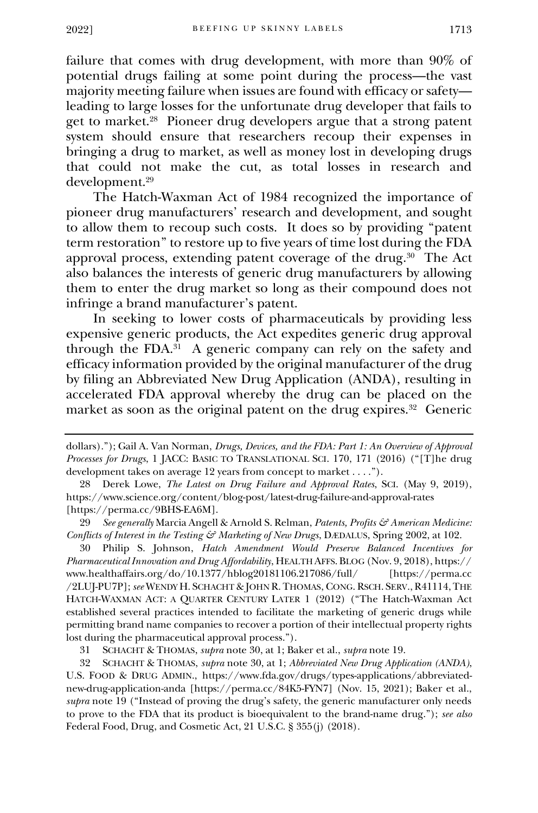failure that comes with drug development, with more than 90% of potential drugs failing at some point during the process—the vast majority meeting failure when issues are found with efficacy or safety leading to large losses for the unfortunate drug developer that fails to get to market.<sup>28</sup> Pioneer drug developers argue that a strong patent system should ensure that researchers recoup their expenses in bringing a drug to market, as well as money lost in developing drugs that could not make the cut, as total losses in research and development.<sup>29</sup>

The Hatch-Waxman Act of 1984 recognized the importance of pioneer drug manufacturers' research and development, and sought to allow them to recoup such costs. It does so by providing "patent term restoration" to restore up to five years of time lost during the FDA approval process, extending patent coverage of the drug.<sup>30</sup> The Act also balances the interests of generic drug manufacturers by allowing them to enter the drug market so long as their compound does not infringe a brand manufacturer's patent.

In seeking to lower costs of pharmaceuticals by providing less expensive generic products, the Act expedites generic drug approval through the FDA.<sup>31</sup> A generic company can rely on the safety and efficacy information provided by the original manufacturer of the drug by filing an Abbreviated New Drug Application (ANDA), resulting in accelerated FDA approval whereby the drug can be placed on the market as soon as the original patent on the drug expires.<sup>32</sup> Generic

29 *See generally* Marcia Angell & Arnold S. Relman, *Patents, Profits & American Medicine: Conflicts of Interest in the Testing & Marketing of New Drugs*, DÆDALUS, Spring 2002, at 102.

30 Philip S. Johnson, *Hatch Amendment Would Preserve Balanced Incentives for Pharmaceutical Innovation and Drug Affordability*, HEALTH AFFS. BLOG (Nov. 9, 2018), https:// www.healthaffairs.org/do/10.1377/hblog20181106.217086/full/ [https://perma.cc /2LUJ-PU7P]; *see* WENDY H. SCHACHT & JOHN R. THOMAS, CONG. RSCH. SERV., R41114,THE HATCH-WAXMAN ACT: A QUARTER CENTURY LATER 1 (2012) ("The Hatch-Waxman Act established several practices intended to facilitate the marketing of generic drugs while permitting brand name companies to recover a portion of their intellectual property rights lost during the pharmaceutical approval process.").

31 SCHACHT & THOMAS, *supra* note 30, at 1; Baker et al., *supra* note 19.

32 SCHACHT & THOMAS, *supra* note 30, at 1; *Abbreviated New Drug Application (ANDA)*, U.S. FOOD & DRUG ADMIN., https://www.fda.gov/drugs/types-applications/abbreviatednew-drug-application-anda [https://perma.cc/84K5-FYN7] (Nov. 15, 2021); Baker et al., *supra* note 19 ("Instead of proving the drug's safety, the generic manufacturer only needs to prove to the FDA that its product is bioequivalent to the brand-name drug."); *see also* Federal Food, Drug, and Cosmetic Act, 21 U.S.C. § 355(j) (2018).

dollars)."); Gail A. Van Norman, *Drugs, Devices, and the FDA: Part 1: An Overview of Approval Processes for Drugs*, 1 JACC: BASIC TO TRANSLATIONAL SCI. 170, 171 (2016) ("[T]he drug development takes on average 12 years from concept to market . . . .").

<sup>28</sup> Derek Lowe, *The Latest on Drug Failure and Approval Rates*, SCI. (May 9, 2019), https://www.science.org/content/blog-post/latest-drug-failure-and-approval-rates [https://perma.cc/9BHS-EA6M].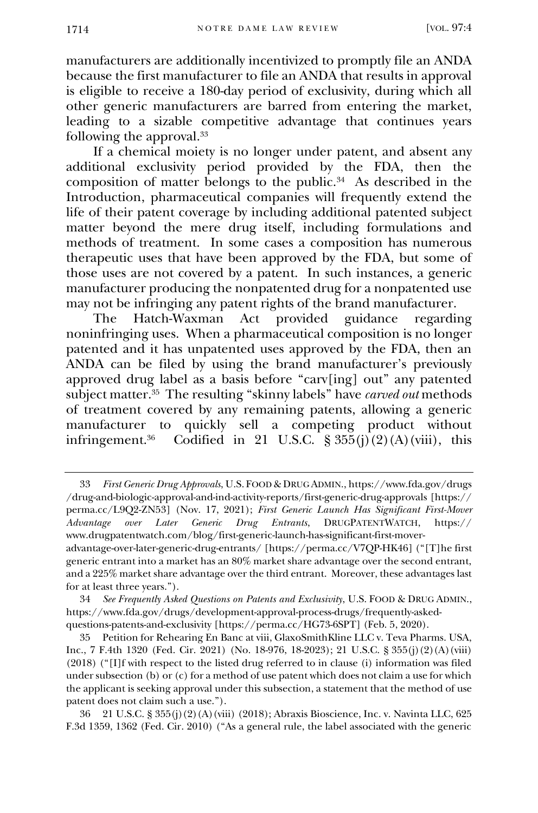manufacturers are additionally incentivized to promptly file an ANDA because the first manufacturer to file an ANDA that results in approval is eligible to receive a 180-day period of exclusivity, during which all other generic manufacturers are barred from entering the market, leading to a sizable competitive advantage that continues years following the approval.<sup>33</sup>

If a chemical moiety is no longer under patent, and absent any additional exclusivity period provided by the FDA, then the composition of matter belongs to the public.<sup>34</sup> As described in the Introduction, pharmaceutical companies will frequently extend the life of their patent coverage by including additional patented subject matter beyond the mere drug itself, including formulations and methods of treatment. In some cases a composition has numerous therapeutic uses that have been approved by the FDA, but some of those uses are not covered by a patent. In such instances, a generic manufacturer producing the nonpatented drug for a nonpatented use may not be infringing any patent rights of the brand manufacturer.<br>The Hatch-Waxman Act provided guidance regarding

The Hatch-Waxman Act provided guidance noninfringing uses. When a pharmaceutical composition is no longer patented and it has unpatented uses approved by the FDA, then an ANDA can be filed by using the brand manufacturer's previously approved drug label as a basis before "carv[ing] out" any patented subject matter.<sup>35</sup> The resulting "skinny labels" have *carved out* methods of treatment covered by any remaining patents, allowing a generic manufacturer to quickly sell a competing product without infringement.<sup>36</sup> Codified in 21 U.S.C.  $\S 355(j)(2)(A)(viii)$ , this

<sup>33</sup> *First Generic Drug Approvals*, U.S. FOOD & DRUG ADMIN., https://www.fda.gov/drugs /drug-and-biologic-approval-and-ind-activity-reports/first-generic-drug-approvals [https:// perma.cc/L9Q2-ZN53] (Nov. 17, 2021); *First Generic Launch Has Significant First-Mover Advantage over Later Generic Drug Entrants*, DRUGPATENTWATCH, https:// www.drugpatentwatch.com/blog/first-generic-launch-has-significant-first-moveradvantage-over-later-generic-drug-entrants/ [https://perma.cc/V7QP-HK46] ("[T]he first generic entrant into a market has an 80% market share advantage over the second entrant, and a 225% market share advantage over the third entrant. Moreover, these advantages last for at least three years.").

<sup>34</sup> *See Frequently Asked Questions on Patents and Exclusivity*, U.S. FOOD & DRUG ADMIN., https://www.fda.gov/drugs/development-approval-process-drugs/frequently-askedquestions-patents-and-exclusivity [https://perma.cc/HG73-6SPT] (Feb. 5, 2020).

<sup>35</sup> Petition for Rehearing En Banc at viii, GlaxoSmithKline LLC v. Teva Pharms. USA, Inc., 7 F.4th 1320 (Fed. Cir. 2021) (No. 18-976, 18-2023); 21 U.S.C. § 355(j)(2)(A)(viii) (2018) ("[I]f with respect to the listed drug referred to in clause (i) information was filed under subsection (b) or (c) for a method of use patent which does not claim a use for which the applicant is seeking approval under this subsection, a statement that the method of use patent does not claim such a use.").

<sup>36</sup> 21 U.S.C. § 355(j)(2)(A)(viii) (2018); Abraxis Bioscience, Inc. v. Navinta LLC, 625 F.3d 1359, 1362 (Fed. Cir. 2010) ("As a general rule, the label associated with the generic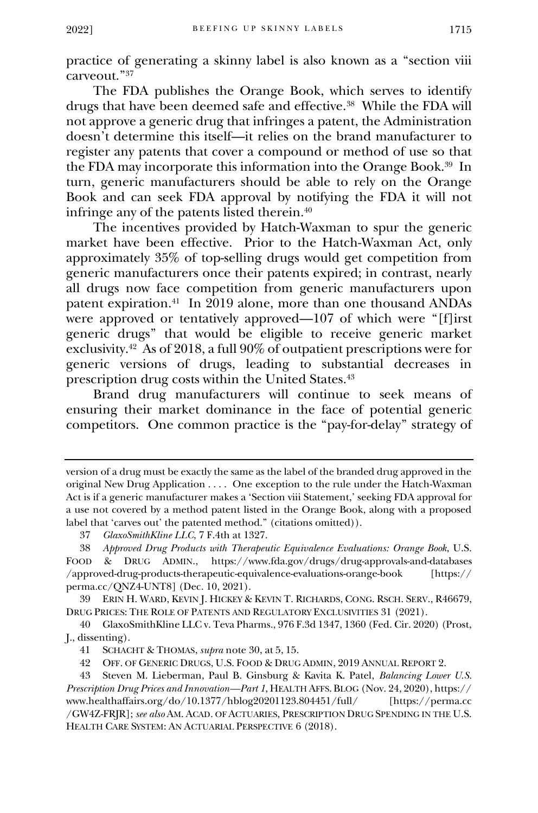practice of generating a skinny label is also known as a "section viii carveout."<sup>37</sup>

The FDA publishes the Orange Book, which serves to identify drugs that have been deemed safe and effective.<sup>38</sup> While the FDA will not approve a generic drug that infringes a patent, the Administration doesn't determine this itself—it relies on the brand manufacturer to register any patents that cover a compound or method of use so that the FDA may incorporate this information into the Orange Book.<sup>39</sup> In turn, generic manufacturers should be able to rely on the Orange Book and can seek FDA approval by notifying the FDA it will not infringe any of the patents listed therein.<sup>40</sup>

The incentives provided by Hatch-Waxman to spur the generic market have been effective. Prior to the Hatch-Waxman Act, only approximately 35% of top-selling drugs would get competition from generic manufacturers once their patents expired; in contrast, nearly all drugs now face competition from generic manufacturers upon patent expiration.<sup>41</sup> In 2019 alone, more than one thousand ANDAs were approved or tentatively approved—107 of which were "[f]irst generic drugs" that would be eligible to receive generic market exclusivity.<sup>42</sup> As of 2018, a full 90% of outpatient prescriptions were for generic versions of drugs, leading to substantial decreases in prescription drug costs within the United States.<sup>43</sup>

Brand drug manufacturers will continue to seek means of ensuring their market dominance in the face of potential generic competitors. One common practice is the "pay-for-delay" strategy of

version of a drug must be exactly the same as the label of the branded drug approved in the original New Drug Application . . . . One exception to the rule under the Hatch-Waxman Act is if a generic manufacturer makes a 'Section viii Statement,' seeking FDA approval for a use not covered by a method patent listed in the Orange Book, along with a proposed label that 'carves out' the patented method." (citations omitted)).

<sup>37</sup> *GlaxoSmithKline LLC*, 7 F.4th at 1327.

<sup>38</sup> *Approved Drug Products with Therapeutic Equivalence Evaluations: Orange Book*, U.S. FOOD & DRUG ADMIN., https://www.fda.gov/drugs/drug-approvals-and-databases /approved-drug-products-therapeutic-equivalence-evaluations-orange-book [https:// perma.cc/QNZ4-UNT8] (Dec. 10, 2021).

<sup>39</sup> ERIN H. WARD, KEVIN J. HICKEY & KEVIN T. RICHARDS, CONG. RSCH. SERV., R46679, DRUG PRICES: THE ROLE OF PATENTS AND REGULATORY EXCLUSIVITIES 31 (2021).

<sup>40</sup> GlaxoSmithKline LLC v. Teva Pharms., 976 F.3d 1347, 1360 (Fed. Cir. 2020) (Prost, J., dissenting).

<sup>41</sup> SCHACHT & THOMAS, *supra* note 30, at 5, 15.

<sup>42</sup> OFF. OF GENERIC DRUGS, U.S. FOOD & DRUG ADMIN, 2019 ANNUAL REPORT 2.

<sup>43</sup> Steven M. Lieberman, Paul B. Ginsburg & Kavita K. Patel, *Balancing Lower U.S. Prescription Drug Prices and Innovation—Part 1*, HEALTH AFFS. BLOG (Nov. 24, 2020), https:// www.healthaffairs.org/do/10.1377/hblog20201123.804451/full/ [https://perma.cc /GW4Z-FRJR]; *see also* AM. ACAD. OF ACTUARIES, PRESCRIPTION DRUG SPENDING IN THE U.S. HEALTH CARE SYSTEM: AN ACTUARIAL PERSPECTIVE 6 (2018).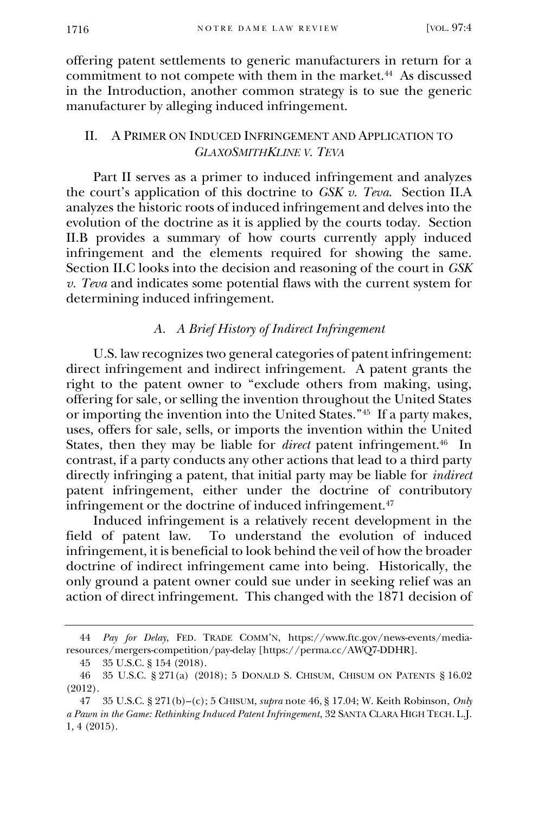offering patent settlements to generic manufacturers in return for a commitment to not compete with them in the market.<sup>44</sup> As discussed in the Introduction, another common strategy is to sue the generic manufacturer by alleging induced infringement.

#### II. A PRIMER ON INDUCED INFRINGEMENT AND APPLICATION TO *GLAXOSMITHKLINE V. TEVA*

Part II serves as a primer to induced infringement and analyzes the court's application of this doctrine to *GSK v. Teva*. Section II.A analyzes the historic roots of induced infringement and delves into the evolution of the doctrine as it is applied by the courts today. Section II.B provides a summary of how courts currently apply induced infringement and the elements required for showing the same. Section II.C looks into the decision and reasoning of the court in *GSK v. Teva* and indicates some potential flaws with the current system for determining induced infringement.

## *A. A Brief History of Indirect Infringement*

U.S. law recognizes two general categories of patent infringement: direct infringement and indirect infringement. A patent grants the right to the patent owner to "exclude others from making, using, offering for sale, or selling the invention throughout the United States or importing the invention into the United States."<sup>45</sup> If a party makes, uses, offers for sale, sells, or imports the invention within the United States, then they may be liable for *direct* patent infringement.<sup>46</sup> In contrast, if a party conducts any other actions that lead to a third party directly infringing a patent, that initial party may be liable for *indirect* patent infringement, either under the doctrine of contributory infringement or the doctrine of induced infringement.<sup>47</sup>

Induced infringement is a relatively recent development in the field of patent law. To understand the evolution of induced To understand the evolution of induced infringement, it is beneficial to look behind the veil of how the broader doctrine of indirect infringement came into being. Historically, the only ground a patent owner could sue under in seeking relief was an action of direct infringement. This changed with the 1871 decision of

<sup>44</sup> *Pay for Delay*, FED. TRADE COMM'N, https://www.ftc.gov/news-events/mediaresources/mergers-competition/pay-delay [https://perma.cc/AWQ7-DDHR].

<sup>45</sup> 35 U.S.C. § 154 (2018).

<sup>46</sup> 35 U.S.C. § 271(a) (2018); 5 DONALD S. CHISUM, CHISUM ON PATENTS § 16.02 (2012).

<sup>47</sup> 35 U.S.C. § 271(b)–(c); 5 CHISUM, *supra* note 46, § 17.04; W. Keith Robinson, *Only a Pawn in the Game: Rethinking Induced Patent Infringement*, 32 SANTA CLARA HIGH TECH. L.J. 1, 4 (2015).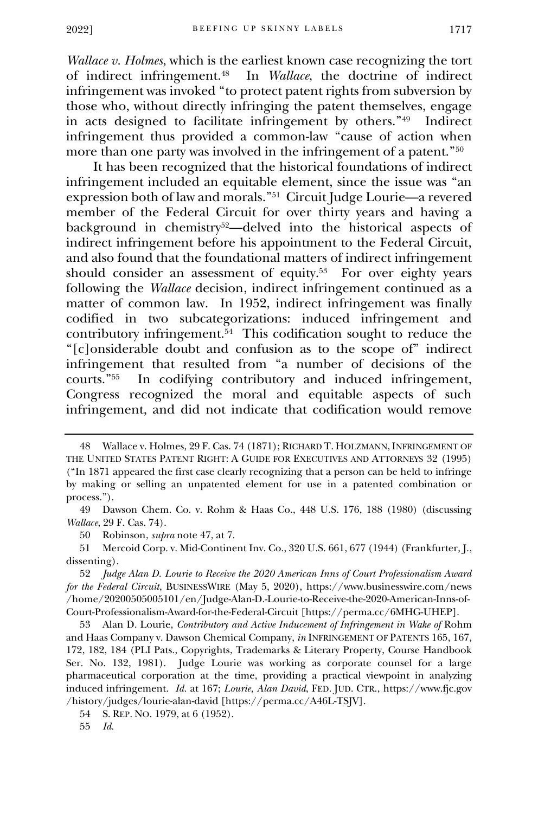*Wallace v. Holmes*, which is the earliest known case recognizing the tort of indirect infringement.<sup>48</sup> In *Wallace*, the doctrine of indirect infringement was invoked "to protect patent rights from subversion by those who, without directly infringing the patent themselves, engage in acts designed to facilitate infringement by others."<sup>49</sup> Indirect infringement thus provided a common-law "cause of action when more than one party was involved in the infringement of a patent."<sup>50</sup>

It has been recognized that the historical foundations of indirect infringement included an equitable element, since the issue was "an expression both of law and morals."<sup>51</sup> Circuit Judge Lourie—a revered member of the Federal Circuit for over thirty years and having a background in chemistry52—delved into the historical aspects of indirect infringement before his appointment to the Federal Circuit, and also found that the foundational matters of indirect infringement should consider an assessment of equity.<sup>53</sup> For over eighty years following the *Wallace* decision, indirect infringement continued as a matter of common law. In 1952, indirect infringement was finally codified in two subcategorizations: induced infringement and contributory infringement.<sup>54</sup> This codification sought to reduce the "[c]onsiderable doubt and confusion as to the scope of" indirect infringement that resulted from "a number of decisions of the courts."<sup>55</sup> In codifying contributory and induced infringement. In codifying contributory and induced infringement, Congress recognized the moral and equitable aspects of such infringement, and did not indicate that codification would remove

50 Robinson, *supra* note 47, at 7.

51 Mercoid Corp. v. Mid-Continent Inv. Co., 320 U.S. 661, 677 (1944) (Frankfurter, J., dissenting).

54 S. REP. NO. 1979, at 6 (1952).

55 *Id.*

<sup>48</sup> Wallace v. Holmes, 29 F. Cas. 74 (1871); RICHARD T. HOLZMANN, INFRINGEMENT OF THE UNITED STATES PATENT RIGHT: A GUIDE FOR EXECUTIVES AND ATTORNEYS 32 (1995) ("In 1871 appeared the first case clearly recognizing that a person can be held to infringe by making or selling an unpatented element for use in a patented combination or process.").

<sup>49</sup> Dawson Chem. Co. v. Rohm & Haas Co., 448 U.S. 176, 188 (1980) (discussing *Wallace*, 29 F. Cas. 74).

<sup>52</sup> *Judge Alan D. Lourie to Receive the 2020 American Inns of Court Professionalism Award for the Federal Circuit*, BUSINESSWIRE (May 5, 2020), https://www.businesswire.com/news /home/20200505005101/en/Judge-Alan-D.-Lourie-to-Receive-the-2020-American-Inns-of-Court-Professionalism-Award-for-the-Federal-Circuit [https://perma.cc/6MHG-UHEP].

<sup>53</sup> Alan D. Lourie, *Contributory and Active Inducement of Infringement in Wake of* Rohm and Haas Company v. Dawson Chemical Company, *in* INFRINGEMENT OF PATENTS 165, 167, 172, 182, 184 (PLI Pats., Copyrights, Trademarks & Literary Property, Course Handbook Ser. No. 132, 1981). Judge Lourie was working as corporate counsel for a large pharmaceutical corporation at the time, providing a practical viewpoint in analyzing induced infringement. *Id.* at 167; *Lourie, Alan David*, FED. JUD. CTR., https://www.fjc.gov /history/judges/lourie-alan-david [https://perma.cc/A46L-TSJV].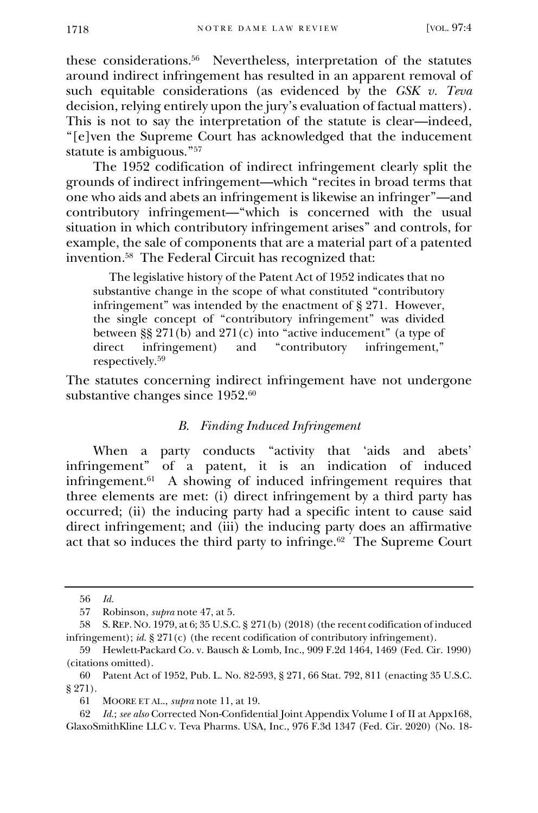these considerations.<sup>56</sup> Nevertheless, interpretation of the statutes around indirect infringement has resulted in an apparent removal of such equitable considerations (as evidenced by the *GSK v. Teva* decision, relying entirely upon the jury's evaluation of factual matters). This is not to say the interpretation of the statute is clear—indeed, "[e]ven the Supreme Court has acknowledged that the inducement statute is ambiguous."<sup>57</sup>

The 1952 codification of indirect infringement clearly split the grounds of indirect infringement—which "recites in broad terms that one who aids and abets an infringement is likewise an infringer"—and contributory infringement—"which is concerned with the usual situation in which contributory infringement arises" and controls, for example, the sale of components that are a material part of a patented invention.<sup>58</sup> The Federal Circuit has recognized that:

 The legislative history of the Patent Act of 1952 indicates that no substantive change in the scope of what constituted "contributory infringement" was intended by the enactment of § 271. However, the single concept of "contributory infringement" was divided between §§ 271(b) and 271(c) into "active inducement" (a type of direct infringement) and "contributory infringement." direct infringement) and "contributory infringement," respectively.<sup>59</sup>

The statutes concerning indirect infringement have not undergone substantive changes since 1952.<sup>60</sup>

#### *B. Finding Induced Infringement*

When a party conducts "activity that 'aids and abets' infringement" of a patent, it is an indication of induced infringement.<sup>61</sup> A showing of induced infringement requires that three elements are met: (i) direct infringement by a third party has occurred; (ii) the inducing party had a specific intent to cause said direct infringement; and (iii) the inducing party does an affirmative act that so induces the third party to infringe.<sup>62</sup> The Supreme Court

<sup>56</sup> *Id.*

<sup>57</sup> Robinson, *supra* note 47, at 5.

<sup>58</sup> S.REP.NO. 1979, at 6; 35 U.S.C. § 271(b) (2018) (the recent codification of induced infringement); *id.* § 271(c) (the recent codification of contributory infringement).

<sup>59</sup> Hewlett-Packard Co. v. Bausch & Lomb, Inc., 909 F.2d 1464, 1469 (Fed. Cir. 1990) (citations omitted).

<sup>60</sup> Patent Act of 1952, Pub. L. No. 82-593, § 271, 66 Stat. 792, 811 (enacting 35 U.S.C. § 271).

<sup>61</sup> MOORE ET AL., *supra* note 11, at 19.

<sup>62</sup> *Id.*; *see also* Corrected Non-Confidential Joint Appendix Volume I of II at Appx168, GlaxoSmithKline LLC v. Teva Pharms. USA, Inc., 976 F.3d 1347 (Fed. Cir. 2020) (No. 18-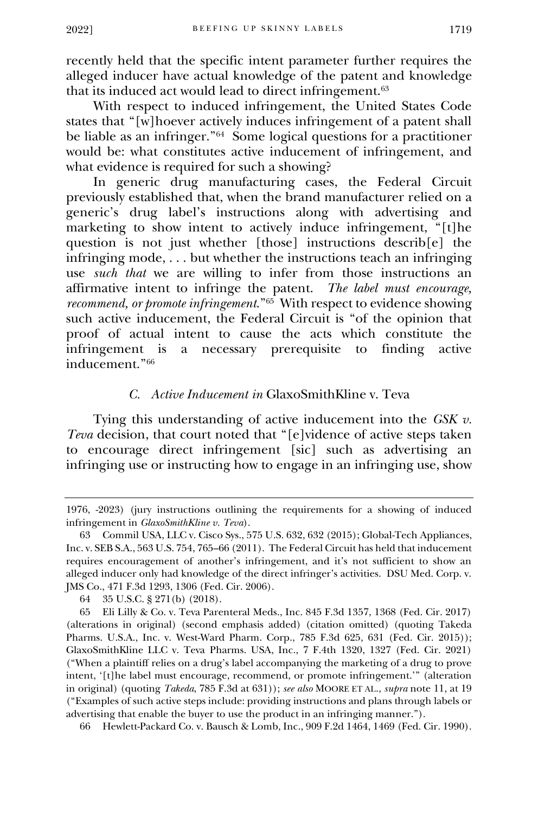recently held that the specific intent parameter further requires the alleged inducer have actual knowledge of the patent and knowledge that its induced act would lead to direct infringement.<sup>63</sup>

With respect to induced infringement, the United States Code states that "[w]hoever actively induces infringement of a patent shall be liable as an infringer."<sup>64</sup> Some logical questions for a practitioner would be: what constitutes active inducement of infringement, and what evidence is required for such a showing?

In generic drug manufacturing cases, the Federal Circuit previously established that, when the brand manufacturer relied on a generic's drug label's instructions along with advertising and marketing to show intent to actively induce infringement, "[t]he question is not just whether [those] instructions describ[e] the infringing mode, . . . but whether the instructions teach an infringing use *such that* we are willing to infer from those instructions an affirmative intent to infringe the patent. *The label must encourage, recommend, or promote infringement*."<sup>65</sup> With respect to evidence showing such active inducement, the Federal Circuit is "of the opinion that proof of actual intent to cause the acts which constitute the infringement is a necessary prerequisite to finding active is a necessary prerequisite to finding active inducement."<sup>66</sup>

#### *C. Active Inducement in* GlaxoSmithKline v. Teva

Tying this understanding of active inducement into the *GSK v. Teva* decision, that court noted that "[e]vidence of active steps taken to encourage direct infringement [sic] such as advertising an infringing use or instructing how to engage in an infringing use, show

66 Hewlett-Packard Co. v. Bausch & Lomb, Inc., 909 F.2d 1464, 1469 (Fed. Cir. 1990).

<sup>1976, -2023) (</sup>jury instructions outlining the requirements for a showing of induced infringement in *GlaxoSmithKline v. Teva*).

<sup>63</sup> Commil USA, LLC v. Cisco Sys., 575 U.S. 632, 632 (2015); Global-Tech Appliances, Inc. v. SEB S.A., 563 U.S. 754, 765–66 (2011). The Federal Circuit has held that inducement requires encouragement of another's infringement, and it's not sufficient to show an alleged inducer only had knowledge of the direct infringer's activities. DSU Med. Corp. v. JMS Co., 471 F.3d 1293, 1306 (Fed. Cir. 2006).

<sup>64</sup> 35 U.S.C. § 271(b) (2018).

<sup>65</sup> Eli Lilly & Co. v. Teva Parenteral Meds., Inc. 845 F.3d 1357, 1368 (Fed. Cir. 2017) (alterations in original) (second emphasis added) (citation omitted) (quoting Takeda Pharms. U.S.A., Inc. v. West-Ward Pharm. Corp., 785 F.3d 625, 631 (Fed. Cir. 2015)); GlaxoSmithKline LLC v. Teva Pharms. USA, Inc., 7 F.4th 1320, 1327 (Fed. Cir. 2021) ("When a plaintiff relies on a drug's label accompanying the marketing of a drug to prove intent, '[t]he label must encourage, recommend, or promote infringement.'" (alteration in original) (quoting *Takeda*, 785 F.3d at 631)); *see also* MOORE ET AL., *supra* note 11, at 19 ("Examples of such active steps include: providing instructions and plans through labels or advertising that enable the buyer to use the product in an infringing manner.").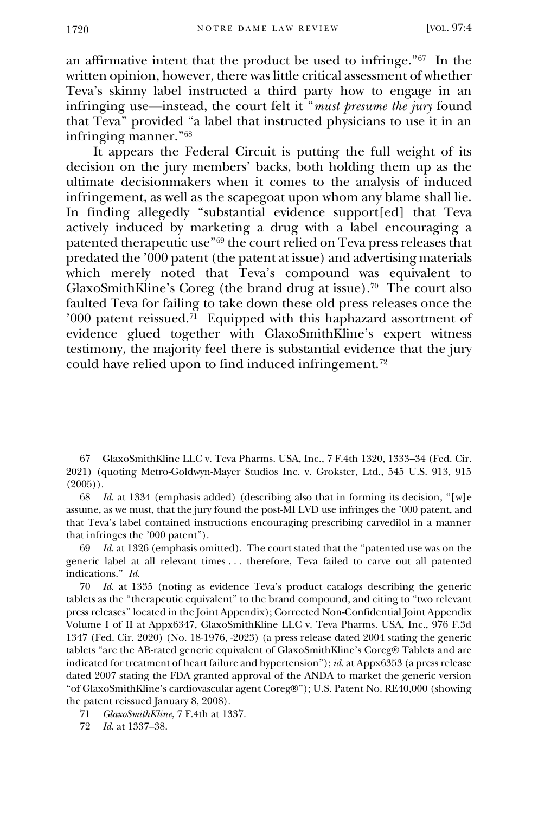an affirmative intent that the product be used to infringe."<sup>67</sup> In the written opinion, however, there was little critical assessment of whether Teva's skinny label instructed a third party how to engage in an infringing use—instead, the court felt it "*must presume the jury* found that Teva" provided "a label that instructed physicians to use it in an infringing manner."<sup>68</sup>

It appears the Federal Circuit is putting the full weight of its decision on the jury members' backs, both holding them up as the ultimate decisionmakers when it comes to the analysis of induced infringement, as well as the scapegoat upon whom any blame shall lie. In finding allegedly "substantial evidence support[ed] that Teva actively induced by marketing a drug with a label encouraging a patented therapeutic use"<sup>69</sup> the court relied on Teva press releases that predated the '000 patent (the patent at issue) and advertising materials which merely noted that Teva's compound was equivalent to GlaxoSmithKline's Coreg (the brand drug at issue).<sup>70</sup> The court also faulted Teva for failing to take down these old press releases once the '000 patent reissued.<sup>71</sup> Equipped with this haphazard assortment of evidence glued together with GlaxoSmithKline's expert witness testimony, the majority feel there is substantial evidence that the jury could have relied upon to find induced infringement.<sup>72</sup>

<sup>67</sup> GlaxoSmithKline LLC v. Teva Pharms. USA, Inc., 7 F.4th 1320, 1333–34 (Fed. Cir. 2021) (quoting Metro-Goldwyn-Mayer Studios Inc. v. Grokster, Ltd., 545 U.S. 913, 915  $(2005)$ .

<sup>68</sup> *Id.* at 1334 (emphasis added) (describing also that in forming its decision, "[w]e assume, as we must, that the jury found the post-MI LVD use infringes the '000 patent, and that Teva's label contained instructions encouraging prescribing carvedilol in a manner that infringes the '000 patent").

<sup>69</sup> *Id.* at 1326 (emphasis omitted). The court stated that the "patented use was on the generic label at all relevant times . . . therefore, Teva failed to carve out all patented indications." *Id.*

<sup>70</sup> *Id.* at 1335 (noting as evidence Teva's product catalogs describing the generic tablets as the "therapeutic equivalent" to the brand compound, and citing to "two relevant press releases" located in the Joint Appendix); Corrected Non-Confidential Joint Appendix Volume I of II at Appx6347, GlaxoSmithKline LLC v. Teva Pharms. USA, Inc., 976 F.3d 1347 (Fed. Cir. 2020) (No. 18-1976, -2023) (a press release dated 2004 stating the generic tablets "are the AB-rated generic equivalent of GlaxoSmithKline's Coreg® Tablets and are indicated for treatment of heart failure and hypertension"); *id.* at Appx6353 (a press release dated 2007 stating the FDA granted approval of the ANDA to market the generic version "of GlaxoSmithKline's cardiovascular agent Coreg®"); U.S. Patent No. RE40,000 (showing the patent reissued January 8, 2008).

<sup>71</sup> *GlaxoSmithKline*, 7 F.4th at 1337.

<sup>72</sup> *Id.* at 1337–38.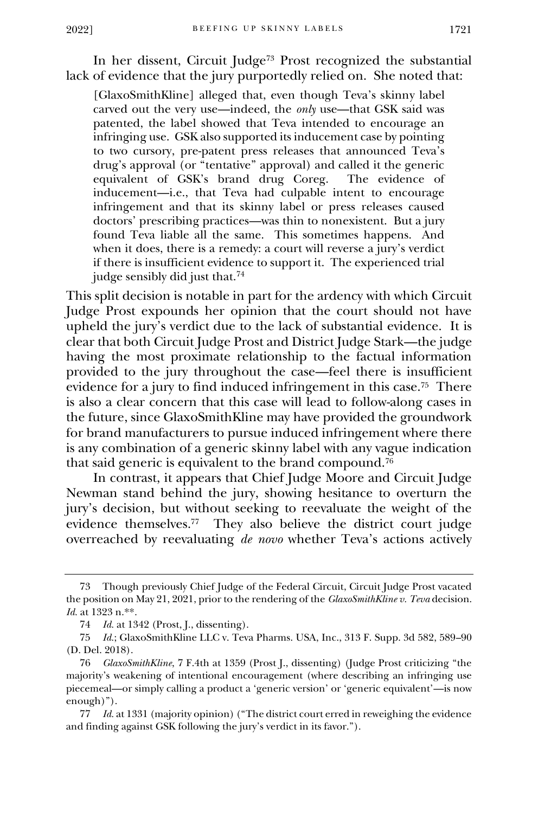In her dissent, Circuit Judge<sup>73</sup> Prost recognized the substantial lack of evidence that the jury purportedly relied on. She noted that:

[GlaxoSmithKline] alleged that, even though Teva's skinny label carved out the very use—indeed, the *only* use—that GSK said was patented, the label showed that Teva intended to encourage an infringing use. GSK also supported its inducement case by pointing to two cursory, pre-patent press releases that announced Teva's drug's approval (or "tentative" approval) and called it the generic equivalent of GSK's brand drug Coreg. inducement—i.e., that Teva had culpable intent to encourage infringement and that its skinny label or press releases caused doctors' prescribing practices—was thin to nonexistent. But a jury found Teva liable all the same. This sometimes happens. And when it does, there is a remedy: a court will reverse a jury's verdict if there is insufficient evidence to support it. The experienced trial judge sensibly did just that.<sup>74</sup>

This split decision is notable in part for the ardency with which Circuit Judge Prost expounds her opinion that the court should not have upheld the jury's verdict due to the lack of substantial evidence. It is clear that both Circuit Judge Prost and District Judge Stark—the judge having the most proximate relationship to the factual information provided to the jury throughout the case—feel there is insufficient evidence for a jury to find induced infringement in this case.<sup>75</sup> There is also a clear concern that this case will lead to follow-along cases in the future, since GlaxoSmithKline may have provided the groundwork for brand manufacturers to pursue induced infringement where there is any combination of a generic skinny label with any vague indication that said generic is equivalent to the brand compound.<sup>76</sup>

In contrast, it appears that Chief Judge Moore and Circuit Judge Newman stand behind the jury, showing hesitance to overturn the jury's decision, but without seeking to reevaluate the weight of the evidence themselves.<sup>77</sup> They also believe the district court judge overreached by reevaluating *de novo* whether Teva's actions actively

<sup>73</sup> Though previously Chief Judge of the Federal Circuit, Circuit Judge Prost vacated the position on May 21, 2021, prior to the rendering of the *GlaxoSmithKline v. Teva* decision. *Id.* at 1323 n.\*\*.

<sup>74</sup> *Id.* at 1342 (Prost, J., dissenting).

<sup>75</sup> *Id.*; GlaxoSmithKline LLC v. Teva Pharms. USA, Inc., 313 F. Supp. 3d 582, 589–90 (D. Del. 2018).

<sup>76</sup> *GlaxoSmithKline*, 7 F.4th at 1359 (Prost J., dissenting) (Judge Prost criticizing "the majority's weakening of intentional encouragement (where describing an infringing use piecemeal—or simply calling a product a 'generic version' or 'generic equivalent'—is now enough)").

<sup>77</sup> *Id.* at 1331 (majority opinion) ("The district court erred in reweighing the evidence and finding against GSK following the jury's verdict in its favor.").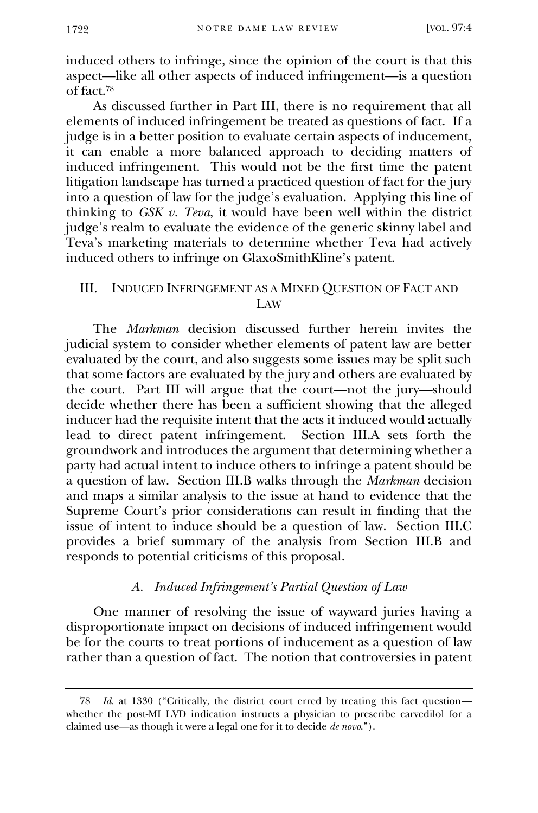induced others to infringe, since the opinion of the court is that this aspect—like all other aspects of induced infringement—is a question of fact.<sup>78</sup>

As discussed further in Part III, there is no requirement that all elements of induced infringement be treated as questions of fact. If a judge is in a better position to evaluate certain aspects of inducement, it can enable a more balanced approach to deciding matters of induced infringement. This would not be the first time the patent litigation landscape has turned a practiced question of fact for the jury into a question of law for the judge's evaluation. Applying this line of thinking to *GSK v. Teva*, it would have been well within the district judge's realm to evaluate the evidence of the generic skinny label and Teva's marketing materials to determine whether Teva had actively induced others to infringe on GlaxoSmithKline's patent.

#### III. INDUCED INFRINGEMENT AS A MIXED QUESTION OF FACT AND LAW

The *Markman* decision discussed further herein invites the judicial system to consider whether elements of patent law are better evaluated by the court, and also suggests some issues may be split such that some factors are evaluated by the jury and others are evaluated by the court. Part III will argue that the court—not the jury—should decide whether there has been a sufficient showing that the alleged inducer had the requisite intent that the acts it induced would actually lead to direct patent infringement. Section III.A sets forth the groundwork and introduces the argument that determining whether a party had actual intent to induce others to infringe a patent should be a question of law. Section III.B walks through the *Markman* decision and maps a similar analysis to the issue at hand to evidence that the Supreme Court's prior considerations can result in finding that the issue of intent to induce should be a question of law. Section III.C provides a brief summary of the analysis from Section III.B and responds to potential criticisms of this proposal.

#### *A. Induced Infringement's Partial Question of Law*

One manner of resolving the issue of wayward juries having a disproportionate impact on decisions of induced infringement would be for the courts to treat portions of inducement as a question of law rather than a question of fact. The notion that controversies in patent

<sup>78</sup> *Id.* at 1330 ("Critically, the district court erred by treating this fact question whether the post-MI LVD indication instructs a physician to prescribe carvedilol for a claimed use—as though it were a legal one for it to decide *de novo*.").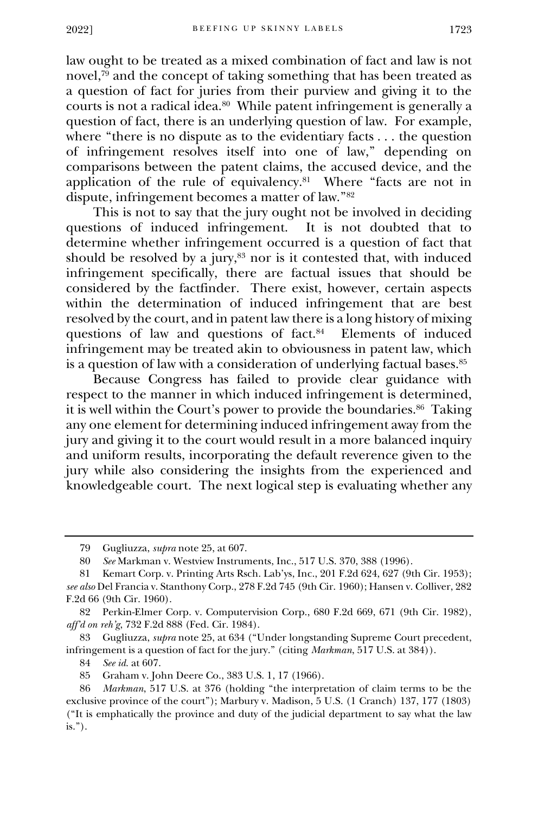law ought to be treated as a mixed combination of fact and law is not novel, $\frac{79}{9}$  and the concept of taking something that has been treated as a question of fact for juries from their purview and giving it to the courts is not a radical idea.<sup>80</sup> While patent infringement is generally a question of fact, there is an underlying question of law. For example, where "there is no dispute as to the evidentiary facts . . . the question of infringement resolves itself into one of law," depending on comparisons between the patent claims, the accused device, and the application of the rule of equivalency.<sup>81</sup> Where "facts are not in dispute, infringement becomes a matter of law."<sup>82</sup>

This is not to say that the jury ought not be involved in deciding questions of induced infringement. It is not doubted that to determine whether infringement occurred is a question of fact that should be resolved by a jury, $83$  nor is it contested that, with induced infringement specifically, there are factual issues that should be considered by the factfinder. There exist, however, certain aspects within the determination of induced infringement that are best resolved by the court, and in patent law there is a long history of mixing questions of law and questions of fact.<sup>84</sup> Elements of induced infringement may be treated akin to obviousness in patent law, which is a question of law with a consideration of underlying factual bases.<sup>85</sup>

Because Congress has failed to provide clear guidance with respect to the manner in which induced infringement is determined, it is well within the Court's power to provide the boundaries.<sup>86</sup> Taking any one element for determining induced infringement away from the jury and giving it to the court would result in a more balanced inquiry and uniform results, incorporating the default reverence given to the jury while also considering the insights from the experienced and knowledgeable court. The next logical step is evaluating whether any

84 *See id.* at 607.

<sup>79</sup> Gugliuzza, *supra* note 25, at 607.

<sup>80</sup> *See* Markman v. Westview Instruments, Inc., 517 U.S. 370, 388 (1996).

<sup>81</sup> Kemart Corp. v. Printing Arts Rsch. Lab'ys, Inc., 201 F.2d 624, 627 (9th Cir. 1953); *see also* Del Francia v. Stanthony Corp., 278 F.2d 745 (9th Cir. 1960); Hansen v. Colliver, 282 F.2d 66 (9th Cir. 1960).

<sup>82</sup> Perkin-Elmer Corp. v. Computervision Corp., 680 F.2d 669, 671 (9th Cir. 1982), *aff'd on reh'g*, 732 F.2d 888 (Fed. Cir. 1984).

<sup>83</sup> Gugliuzza, *supra* note 25, at 634 ("Under longstanding Supreme Court precedent, infringement is a question of fact for the jury." (citing *Markman*, 517 U.S. at 384)).

<sup>85</sup> Graham v. John Deere Co., 383 U.S. 1, 17 (1966).

<sup>86</sup> *Markman*, 517 U.S. at 376 (holding "the interpretation of claim terms to be the exclusive province of the court"); Marbury v. Madison, 5 U.S. (1 Cranch) 137, 177 (1803) ("It is emphatically the province and duty of the judicial department to say what the law  $is.$ ").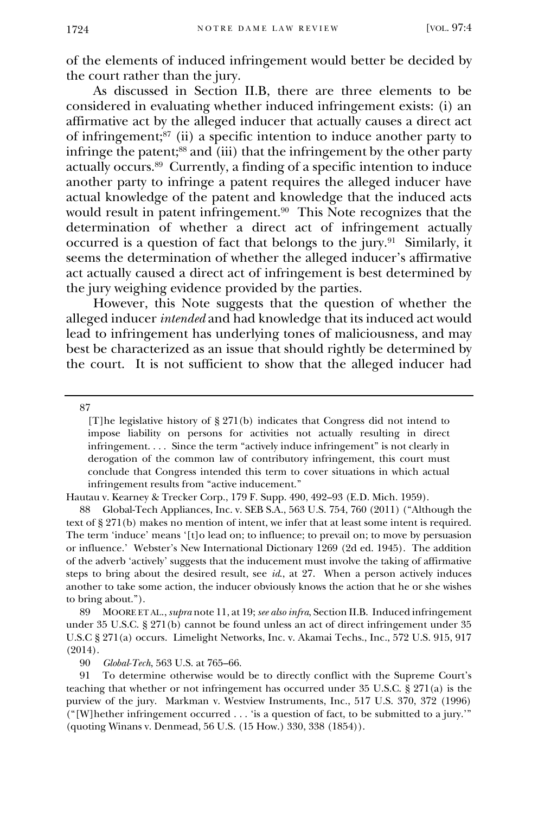of the elements of induced infringement would better be decided by the court rather than the jury.

As discussed in Section II.B, there are three elements to be considered in evaluating whether induced infringement exists: (i) an affirmative act by the alleged inducer that actually causes a direct act of infringement;<sup>87</sup> (ii) a specific intention to induce another party to infringe the patent;<sup>88</sup> and (iii) that the infringement by the other party actually occurs.<sup>89</sup> Currently, a finding of a specific intention to induce another party to infringe a patent requires the alleged inducer have actual knowledge of the patent and knowledge that the induced acts would result in patent infringement.<sup>90</sup> This Note recognizes that the determination of whether a direct act of infringement actually occurred is a question of fact that belongs to the jury.<sup>91</sup> Similarly, it seems the determination of whether the alleged inducer's affirmative act actually caused a direct act of infringement is best determined by the jury weighing evidence provided by the parties.

However, this Note suggests that the question of whether the alleged inducer *intended* and had knowledge that its induced act would lead to infringement has underlying tones of maliciousness, and may best be characterized as an issue that should rightly be determined by the court. It is not sufficient to show that the alleged inducer had

87

Hautau v. Kearney & Trecker Corp., 179 F. Supp. 490, 492–93 (E.D. Mich. 1959).

88 Global-Tech Appliances, Inc. v. SEB S.A., 563 U.S. 754, 760 (2011) ("Although the text of § 271(b) makes no mention of intent, we infer that at least some intent is required. The term 'induce' means '[t]o lead on; to influence; to prevail on; to move by persuasion or influence.' Webster's New International Dictionary 1269 (2d ed. 1945). The addition of the adverb 'actively' suggests that the inducement must involve the taking of affirmative steps to bring about the desired result, see *id*., at 27. When a person actively induces another to take some action, the inducer obviously knows the action that he or she wishes to bring about.").

89 MOORE ET AL.,*supra* note 11, at 19; *see also infra*, Section II.B. Induced infringement under 35 U.S.C. § 271(b) cannot be found unless an act of direct infringement under 35 U.S.C § 271(a) occurs. Limelight Networks, Inc. v. Akamai Techs., Inc., 572 U.S. 915, 917 (2014).

90 *Global-Tech*, 563 U.S. at 765–66.

91 To determine otherwise would be to directly conflict with the Supreme Court's teaching that whether or not infringement has occurred under 35 U.S.C. § 271(a) is the purview of the jury. Markman v. Westview Instruments, Inc., 517 U.S. 370, 372 (1996) ("[W]hether infringement occurred . . . 'is a question of fact, to be submitted to a jury.'" (quoting Winans v. Denmead, 56 U.S. (15 How.) 330, 338 (1854)).

<sup>[</sup>T]he legislative history of § 271(b) indicates that Congress did not intend to impose liability on persons for activities not actually resulting in direct infringement. . . . Since the term "actively induce infringement" is not clearly in derogation of the common law of contributory infringement, this court must conclude that Congress intended this term to cover situations in which actual infringement results from "active inducement."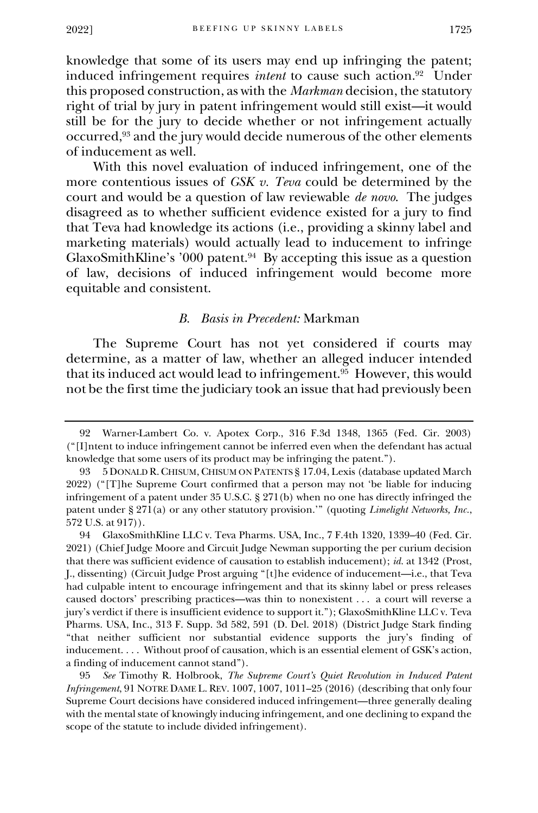knowledge that some of its users may end up infringing the patent; induced infringement requires *intent* to cause such action.<sup>92</sup> Under this proposed construction, as with the *Markman* decision, the statutory right of trial by jury in patent infringement would still exist—it would still be for the jury to decide whether or not infringement actually occurred,<sup>93</sup> and the jury would decide numerous of the other elements of inducement as well.

With this novel evaluation of induced infringement, one of the more contentious issues of *GSK v. Teva* could be determined by the court and would be a question of law reviewable *de novo*. The judges disagreed as to whether sufficient evidence existed for a jury to find that Teva had knowledge its actions (i.e., providing a skinny label and marketing materials) would actually lead to inducement to infringe GlaxoSmithKline's '000 patent. $94$  By accepting this issue as a question of law, decisions of induced infringement would become more equitable and consistent.

#### *B. Basis in Precedent:* Markman

The Supreme Court has not yet considered if courts may determine, as a matter of law, whether an alleged inducer intended that its induced act would lead to infringement.<sup>95</sup> However, this would not be the first time the judiciary took an issue that had previously been

<sup>92</sup> Warner-Lambert Co. v. Apotex Corp., 316 F.3d 1348, 1365 (Fed. Cir. 2003) ("[I]ntent to induce infringement cannot be inferred even when the defendant has actual knowledge that some users of its product may be infringing the patent.").

<sup>93</sup> 5 DONALD R.CHISUM, CHISUM ON PATENTS § 17.04, Lexis (database updated March 2022) ("[T]he Supreme Court confirmed that a person may not 'be liable for inducing infringement of a patent under 35 U.S.C. § 271(b) when no one has directly infringed the patent under § 271(a) or any other statutory provision.'" (quoting *Limelight Networks, Inc.*, 572 U.S. at 917)).

<sup>94</sup> GlaxoSmithKline LLC v. Teva Pharms. USA, Inc., 7 F.4th 1320, 1339–40 (Fed. Cir. 2021) (Chief Judge Moore and Circuit Judge Newman supporting the per curium decision that there was sufficient evidence of causation to establish inducement); *id.* at 1342 (Prost, J., dissenting) (Circuit Judge Prost arguing "[t]he evidence of inducement—i.e., that Teva had culpable intent to encourage infringement and that its skinny label or press releases caused doctors' prescribing practices—was thin to nonexistent . . . a court will reverse a jury's verdict if there is insufficient evidence to support it."); GlaxoSmithKline LLC v. Teva Pharms. USA, Inc., 313 F. Supp. 3d 582, 591 (D. Del. 2018) (District Judge Stark finding "that neither sufficient nor substantial evidence supports the jury's finding of inducement. . . . Without proof of causation, which is an essential element of GSK's action, a finding of inducement cannot stand").

<sup>95</sup> *See* Timothy R. Holbrook, *The Supreme Court's Quiet Revolution in Induced Patent Infringement*, 91 NOTRE DAME L. REV. 1007, 1007, 1011–25 (2016) (describing that only four Supreme Court decisions have considered induced infringement—three generally dealing with the mental state of knowingly inducing infringement, and one declining to expand the scope of the statute to include divided infringement).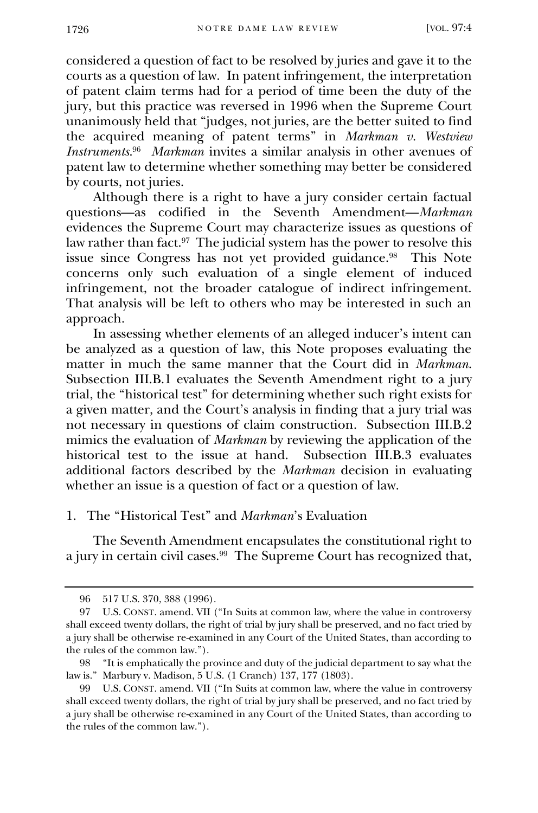considered a question of fact to be resolved by juries and gave it to the courts as a question of law. In patent infringement, the interpretation of patent claim terms had for a period of time been the duty of the jury, but this practice was reversed in 1996 when the Supreme Court unanimously held that "judges, not juries, are the better suited to find the acquired meaning of patent terms" in *Markman v. Westview Instruments*. 96  *Markman* invites a similar analysis in other avenues of patent law to determine whether something may better be considered by courts, not juries.

Although there is a right to have a jury consider certain factual questions—as codified in the Seventh Amendment—*Markman* evidences the Supreme Court may characterize issues as questions of law rather than fact.<sup>97</sup> The judicial system has the power to resolve this issue since Congress has not yet provided guidance.<sup>98</sup> This Note concerns only such evaluation of a single element of induced infringement, not the broader catalogue of indirect infringement. That analysis will be left to others who may be interested in such an approach.

In assessing whether elements of an alleged inducer's intent can be analyzed as a question of law, this Note proposes evaluating the matter in much the same manner that the Court did in *Markman*. Subsection III.B.1 evaluates the Seventh Amendment right to a jury trial, the "historical test" for determining whether such right exists for a given matter, and the Court's analysis in finding that a jury trial was not necessary in questions of claim construction. Subsection III.B.2 mimics the evaluation of *Markman* by reviewing the application of the historical test to the issue at hand. Subsection III.B.3 evaluates historical test to the issue at hand. additional factors described by the *Markman* decision in evaluating whether an issue is a question of fact or a question of law.

#### 1. The "Historical Test" and *Markman*'s Evaluation

The Seventh Amendment encapsulates the constitutional right to a jury in certain civil cases.<sup>99</sup> The Supreme Court has recognized that,

<sup>96</sup> 517 U.S. 370, 388 (1996).

<sup>97</sup> U.S. CONST. amend. VII ("In Suits at common law, where the value in controversy shall exceed twenty dollars, the right of trial by jury shall be preserved, and no fact tried by a jury shall be otherwise re-examined in any Court of the United States, than according to the rules of the common law.").

<sup>98</sup> "It is emphatically the province and duty of the judicial department to say what the law is." Marbury v. Madison, 5 U.S. (1 Cranch) 137, 177 (1803).

<sup>99</sup> U.S. CONST. amend. VII ("In Suits at common law, where the value in controversy shall exceed twenty dollars, the right of trial by jury shall be preserved, and no fact tried by a jury shall be otherwise re-examined in any Court of the United States, than according to the rules of the common law.").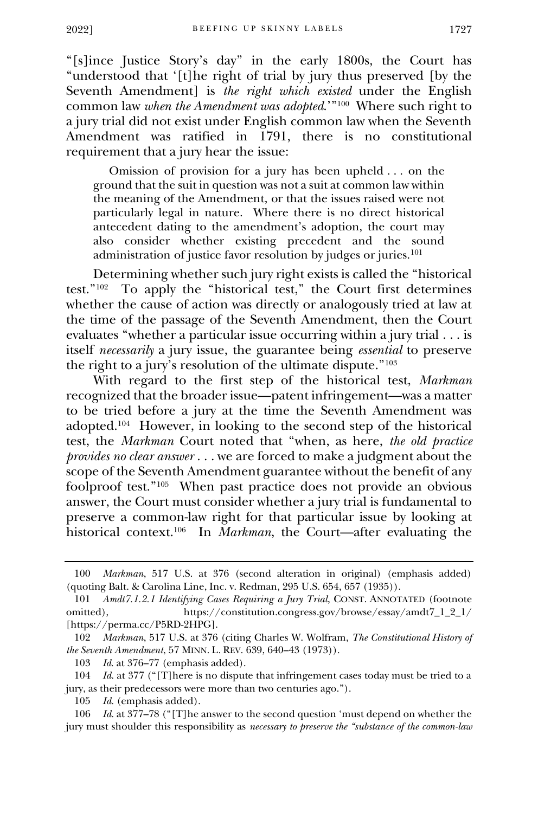"[s]ince Justice Story's day" in the early 1800s, the Court has "understood that '[t]he right of trial by jury thus preserved [by the Seventh Amendment] is *the right which existed* under the English common law *when the Amendment was adopted*.'"<sup>100</sup> Where such right to a jury trial did not exist under English common law when the Seventh Amendment was ratified in 1791, there is no constitutional requirement that a jury hear the issue:

 Omission of provision for a jury has been upheld . . . on the ground that the suit in question was not a suit at common law within the meaning of the Amendment, or that the issues raised were not particularly legal in nature. Where there is no direct historical antecedent dating to the amendment's adoption, the court may also consider whether existing precedent and the sound administration of justice favor resolution by judges or juries.<sup>101</sup>

Determining whether such jury right exists is called the "historical test."<sup>102</sup> To apply the "historical test," the Court first determines whether the cause of action was directly or analogously tried at law at the time of the passage of the Seventh Amendment, then the Court evaluates "whether a particular issue occurring within a jury trial . . . is itself *necessarily* a jury issue, the guarantee being *essential* to preserve the right to a jury's resolution of the ultimate dispute."<sup>103</sup>

With regard to the first step of the historical test, *Markman* recognized that the broader issue—patent infringement—was a matter to be tried before a jury at the time the Seventh Amendment was adopted.<sup>104</sup> However, in looking to the second step of the historical test, the *Markman* Court noted that "when, as here, *the old practice provides no clear answer* . . . we are forced to make a judgment about the scope of the Seventh Amendment guarantee without the benefit of any foolproof test."<sup>105</sup> When past practice does not provide an obvious answer, the Court must consider whether a jury trial is fundamental to preserve a common-law right for that particular issue by looking at historical context.<sup>106</sup> In *Markman*, the Court—after evaluating the

<sup>100</sup> *Markman*, 517 U.S. at 376 (second alteration in original) (emphasis added) (quoting Balt. & Carolina Line, Inc. v. Redman, 295 U.S. 654, 657 (1935)).

<sup>101</sup> *Amdt7.1.2.1 Identifying Cases Requiring a Jury Trial*, CONST. ANNOTATED (footnote omitted), https://constitution.congress.gov/browse/essay/amdt7\_1\_2\_1/ [https://perma.cc/P5RD-2HPG].

<sup>102</sup> *Markman*, 517 U.S. at 376 (citing Charles W. Wolfram, *The Constitutional History of the Seventh Amendment*, 57 MINN. L. REV. 639, 640–43 (1973)).

<sup>103</sup> *Id*. at 376–77 (emphasis added).

<sup>104</sup> *Id.* at 377 ("[T]here is no dispute that infringement cases today must be tried to a jury, as their predecessors were more than two centuries ago.").

<sup>105</sup> *Id.* (emphasis added).

<sup>106</sup> *Id.* at 377–78 ("[T]he answer to the second question 'must depend on whether the jury must shoulder this responsibility as *necessary to preserve the "substance of the common-law*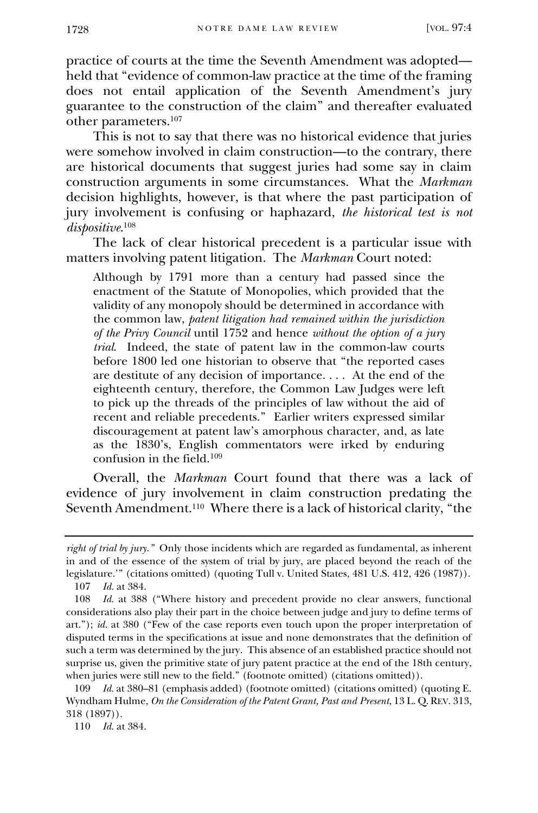practice of courts at the time the Seventh Amendment was adopted held that "evidence of common-law practice at the time of the framing does not entail application of the Seventh Amendment's jury guarantee to the construction of the claim" and thereafter evaluated other parameters.<sup>107</sup>

This is not to say that there was no historical evidence that juries were somehow involved in claim construction—to the contrary, there are historical documents that suggest juries had some say in claim construction arguments in some circumstances. What the *Markman* decision highlights, however, is that where the past participation of jury involvement is confusing or haphazard, *the historical test is not dispositive*. 108

The lack of clear historical precedent is a particular issue with matters involving patent litigation. The *Markman* Court noted:

Although by 1791 more than a century had passed since the enactment of the Statute of Monopolies, which provided that the validity of any monopoly should be determined in accordance with the common law, *patent litigation had remained within the jurisdiction of the Privy Council* until 1752 and hence *without the option of a jury trial*. Indeed, the state of patent law in the common-law courts before 1800 led one historian to observe that "the reported cases are destitute of any decision of importance. . . . At the end of the eighteenth century, therefore, the Common Law Judges were left to pick up the threads of the principles of law without the aid of recent and reliable precedents." Earlier writers expressed similar discouragement at patent law's amorphous character, and, as late as the 1830's, English commentators were irked by enduring confusion in the field.<sup>109</sup>

Overall, the *Markman* Court found that there was a lack of evidence of jury involvement in claim construction predating the Seventh Amendment.<sup>110</sup> Where there is a lack of historical clarity, "the

110 *Id.* at 384.

*right of trial by jury."* Only those incidents which are regarded as fundamental, as inherent in and of the essence of the system of trial by jury, are placed beyond the reach of the legislature.'" (citations omitted) (quoting Tull v. United States, 481 U.S. 412, 426 (1987)).

<sup>107</sup> *Id.* at 384.

<sup>108</sup> *Id.* at 388 ("Where history and precedent provide no clear answers, functional considerations also play their part in the choice between judge and jury to define terms of art."); *id.* at 380 ("Few of the case reports even touch upon the proper interpretation of disputed terms in the specifications at issue and none demonstrates that the definition of such a term was determined by the jury. This absence of an established practice should not surprise us, given the primitive state of jury patent practice at the end of the 18th century, when juries were still new to the field." (footnote omitted) (citations omitted)).

<sup>109</sup> *Id.* at 380–81 (emphasis added) (footnote omitted) (citations omitted) (quoting E. Wyndham Hulme, *On the Consideration of the Patent Grant, Past and Present*, 13 L. Q. REV. 313, 318 (1897)).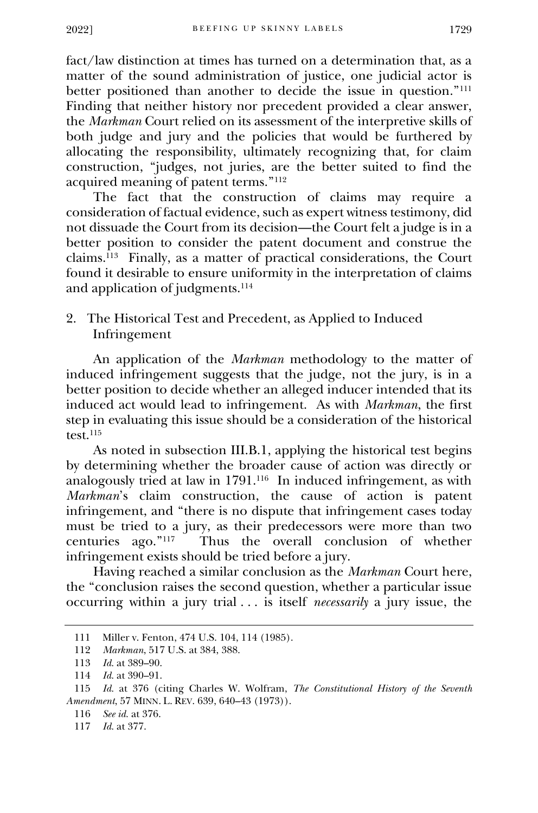fact/law distinction at times has turned on a determination that, as a matter of the sound administration of justice, one judicial actor is better positioned than another to decide the issue in question."<sup>111</sup> Finding that neither history nor precedent provided a clear answer, the *Markman* Court relied on its assessment of the interpretive skills of both judge and jury and the policies that would be furthered by allocating the responsibility, ultimately recognizing that, for claim construction, "judges, not juries, are the better suited to find the acquired meaning of patent terms."<sup>112</sup>

The fact that the construction of claims may require a consideration of factual evidence, such as expert witness testimony, did not dissuade the Court from its decision—the Court felt a judge is in a better position to consider the patent document and construe the claims.<sup>113</sup> Finally, as a matter of practical considerations, the Court found it desirable to ensure uniformity in the interpretation of claims and application of judgments.<sup>114</sup>

2. The Historical Test and Precedent, as Applied to Induced Infringement

An application of the *Markman* methodology to the matter of induced infringement suggests that the judge, not the jury, is in a better position to decide whether an alleged inducer intended that its induced act would lead to infringement. As with *Markman*, the first step in evaluating this issue should be a consideration of the historical test.<sup>115</sup>

As noted in subsection III.B.1, applying the historical test begins by determining whether the broader cause of action was directly or analogously tried at law in 1791.<sup>116</sup> In induced infringement, as with *Markman*'s claim construction, the cause of action is patent infringement, and "there is no dispute that infringement cases today must be tried to a jury, as their predecessors were more than two centuries ago."<sup>117</sup> Thus the overall conclusion of whether infringement exists should be tried before a jury.

Having reached a similar conclusion as the *Markman* Court here, the "conclusion raises the second question, whether a particular issue occurring within a jury trial . . . is itself *necessarily* a jury issue, the

<sup>111</sup> Miller v. Fenton, 474 U.S. 104, 114 (1985).

<sup>112</sup> *Markman*, 517 U.S. at 384, 388.

<sup>113</sup> *Id.* at 389–90.

<sup>114</sup> *Id.* at 390–91.

<sup>115</sup> *Id.* at 376 (citing Charles W. Wolfram, *The Constitutional History of the Seventh Amendment*, 57 MINN. L. REV. 639, 640–43 (1973)).

<sup>116</sup> *See id.* at 376.

<sup>117</sup> *Id.* at 377.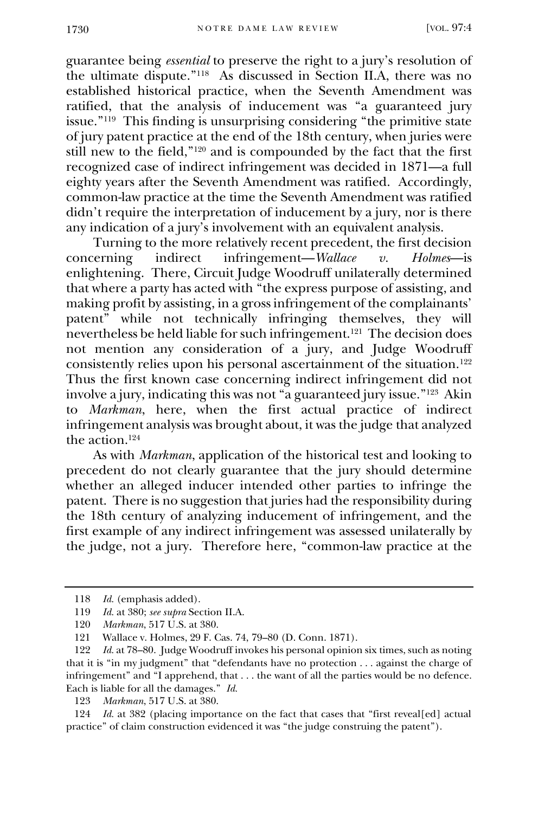guarantee being *essential* to preserve the right to a jury's resolution of the ultimate dispute."<sup>118</sup> As discussed in Section II.A, there was no established historical practice, when the Seventh Amendment was ratified, that the analysis of inducement was "a guaranteed jury issue."<sup>119</sup> This finding is unsurprising considering "the primitive state of jury patent practice at the end of the 18th century, when juries were still new to the field,"<sup>120</sup> and is compounded by the fact that the first recognized case of indirect infringement was decided in 1871—a full eighty years after the Seventh Amendment was ratified. Accordingly, common-law practice at the time the Seventh Amendment was ratified didn't require the interpretation of inducement by a jury, nor is there any indication of a jury's involvement with an equivalent analysis.

Turning to the more relatively recent precedent, the first decision<br>terning indirect infringement—*Wallace*  $v$ . *Holmes*—is concerning indirect infringement—*Wallace v. Holmes*—is enlightening. There, Circuit Judge Woodruff unilaterally determined that where a party has acted with "the express purpose of assisting, and making profit by assisting, in a gross infringement of the complainants' patent" while not technically infringing themselves, they will nevertheless be held liable for such infringement.<sup>121</sup> The decision does not mention any consideration of a jury, and Judge Woodruff consistently relies upon his personal ascertainment of the situation.<sup>122</sup> Thus the first known case concerning indirect infringement did not involve a jury, indicating this was not "a guaranteed jury issue."<sup>123</sup> Akin to *Markman*, here, when the first actual practice of indirect infringement analysis was brought about, it was the judge that analyzed the action.<sup>124</sup>

As with *Markman*, application of the historical test and looking to precedent do not clearly guarantee that the jury should determine whether an alleged inducer intended other parties to infringe the patent. There is no suggestion that juries had the responsibility during the 18th century of analyzing inducement of infringement, and the first example of any indirect infringement was assessed unilaterally by the judge, not a jury. Therefore here, "common-law practice at the

124 *Id.* at 382 (placing importance on the fact that cases that "first reveal[ed] actual practice" of claim construction evidenced it was "the judge construing the patent").

<sup>118</sup> *Id.* (emphasis added).

<sup>119</sup> *Id.* at 380; *see supra* Section II.A.

<sup>120</sup> *Markman*, 517 U.S. at 380.

<sup>121</sup> Wallace v. Holmes, 29 F. Cas. 74, 79–80 (D. Conn. 1871).

<sup>122</sup> *Id.* at 78–80. Judge Woodruff invokes his personal opinion six times, such as noting that it is "in my judgment" that "defendants have no protection . . . against the charge of infringement" and "I apprehend, that . . . the want of all the parties would be no defence. Each is liable for all the damages." *Id.*

<sup>123</sup> *Markman*, 517 U.S. at 380.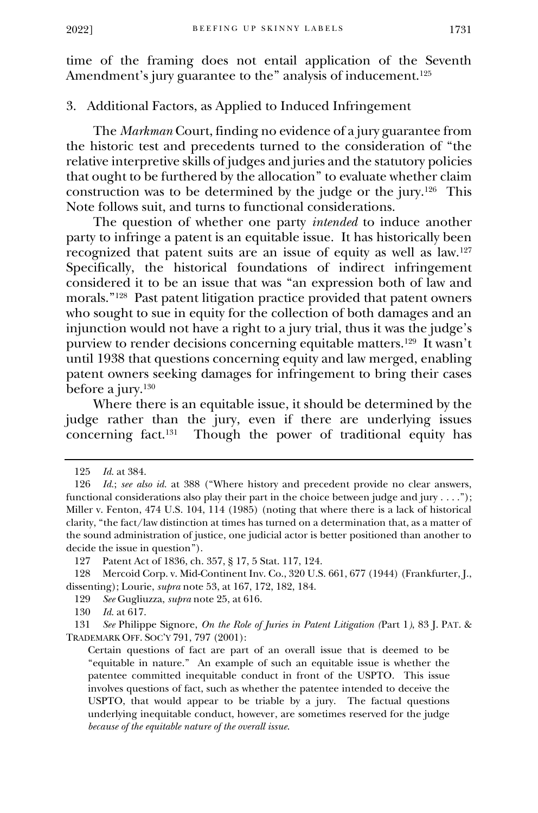time of the framing does not entail application of the Seventh Amendment's jury guarantee to the" analysis of inducement.<sup>125</sup>

### 3. Additional Factors, as Applied to Induced Infringement

The *Markman* Court, finding no evidence of a jury guarantee from the historic test and precedents turned to the consideration of "the relative interpretive skills of judges and juries and the statutory policies that ought to be furthered by the allocation" to evaluate whether claim construction was to be determined by the judge or the jury.<sup>126</sup> This Note follows suit, and turns to functional considerations.

The question of whether one party *intended* to induce another party to infringe a patent is an equitable issue. It has historically been recognized that patent suits are an issue of equity as well as law.<sup>127</sup> Specifically, the historical foundations of indirect infringement considered it to be an issue that was "an expression both of law and morals."<sup>128</sup> Past patent litigation practice provided that patent owners who sought to sue in equity for the collection of both damages and an injunction would not have a right to a jury trial, thus it was the judge's purview to render decisions concerning equitable matters.<sup>129</sup> It wasn't until 1938 that questions concerning equity and law merged, enabling patent owners seeking damages for infringement to bring their cases before a jury.<sup>130</sup>

Where there is an equitable issue, it should be determined by the judge rather than the jury, even if there are underlying issues concerning fact.<sup>131</sup> Though the power of traditional equity has

<sup>125</sup> *Id.* at 384.

<sup>126</sup> *Id.*; *see also id.* at 388 ("Where history and precedent provide no clear answers, functional considerations also play their part in the choice between judge and jury . . . ."); Miller v. Fenton, 474 U.S. 104, 114 (1985) (noting that where there is a lack of historical clarity, "the fact/law distinction at times has turned on a determination that, as a matter of the sound administration of justice, one judicial actor is better positioned than another to decide the issue in question").

<sup>127</sup> Patent Act of 1836, ch. 357, § 17, 5 Stat. 117, 124.

<sup>128</sup> Mercoid Corp. v. Mid-Continent Inv. Co., 320 U.S. 661, 677 (1944) (Frankfurter, J., dissenting); Lourie, *supra* note 53, at 167, 172, 182, 184.

<sup>129</sup> *See* Gugliuzza, *supra* note 25, at 616.

<sup>130</sup> *Id.* at 617.

<sup>131</sup> *See* Philippe Signore, *On the Role of Juries in Patent Litigation (*Part 1*)*, 83 J. PAT. & TRADEMARK OFF. SOC'Y 791, 797 (2001):

Certain questions of fact are part of an overall issue that is deemed to be "equitable in nature." An example of such an equitable issue is whether the patentee committed inequitable conduct in front of the USPTO. This issue involves questions of fact, such as whether the patentee intended to deceive the USPTO, that would appear to be triable by a jury. The factual questions underlying inequitable conduct, however, are sometimes reserved for the judge *because of the equitable nature of the overall issue*.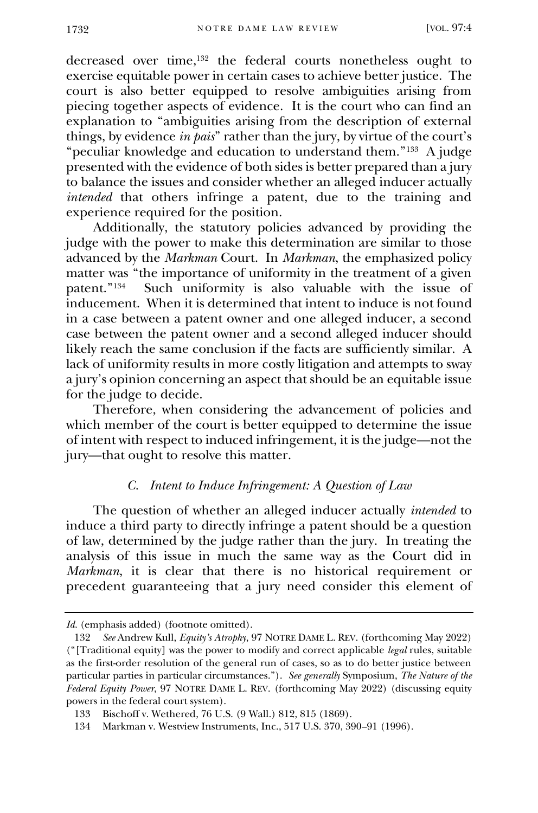decreased over time,<sup>132</sup> the federal courts nonetheless ought to exercise equitable power in certain cases to achieve better justice. The court is also better equipped to resolve ambiguities arising from piecing together aspects of evidence. It is the court who can find an explanation to "ambiguities arising from the description of external things, by evidence *in pais*" rather than the jury, by virtue of the court's "peculiar knowledge and education to understand them."<sup>133</sup> A judge presented with the evidence of both sides is better prepared than a jury to balance the issues and consider whether an alleged inducer actually *intended* that others infringe a patent, due to the training and experience required for the position.

Additionally, the statutory policies advanced by providing the judge with the power to make this determination are similar to those advanced by the *Markman* Court. In *Markman*, the emphasized policy matter was "the importance of uniformity in the treatment of a given patent." 134 Such uniformity is also valuable with the issue of inducement. When it is determined that intent to induce is not found in a case between a patent owner and one alleged inducer, a second case between the patent owner and a second alleged inducer should likely reach the same conclusion if the facts are sufficiently similar. A lack of uniformity results in more costly litigation and attempts to sway a jury's opinion concerning an aspect that should be an equitable issue for the judge to decide.

Therefore, when considering the advancement of policies and which member of the court is better equipped to determine the issue of intent with respect to induced infringement, it is the judge—not the jury—that ought to resolve this matter.

#### *C. Intent to Induce Infringement: A Question of Law*

The question of whether an alleged inducer actually *intended* to induce a third party to directly infringe a patent should be a question of law, determined by the judge rather than the jury. In treating the analysis of this issue in much the same way as the Court did in *Markman*, it is clear that there is no historical requirement or precedent guaranteeing that a jury need consider this element of

Id. (emphasis added) (footnote omitted).

<sup>132</sup> *See* Andrew Kull, *Equity's Atrophy*, 97 NOTRE DAME L. REV. (forthcoming May 2022) ("[Traditional equity] was the power to modify and correct applicable *legal* rules, suitable as the first-order resolution of the general run of cases, so as to do better justice between particular parties in particular circumstances."). *See generally* Symposium, *The Nature of the Federal Equity Power*, 97 NOTRE DAME L. REV. (forthcoming May 2022) (discussing equity powers in the federal court system).

<sup>133</sup> Bischoff v. Wethered, 76 U.S. (9 Wall.) 812, 815 (1869).

<sup>134</sup> Markman v. Westview Instruments, Inc., 517 U.S. 370, 390–91 (1996).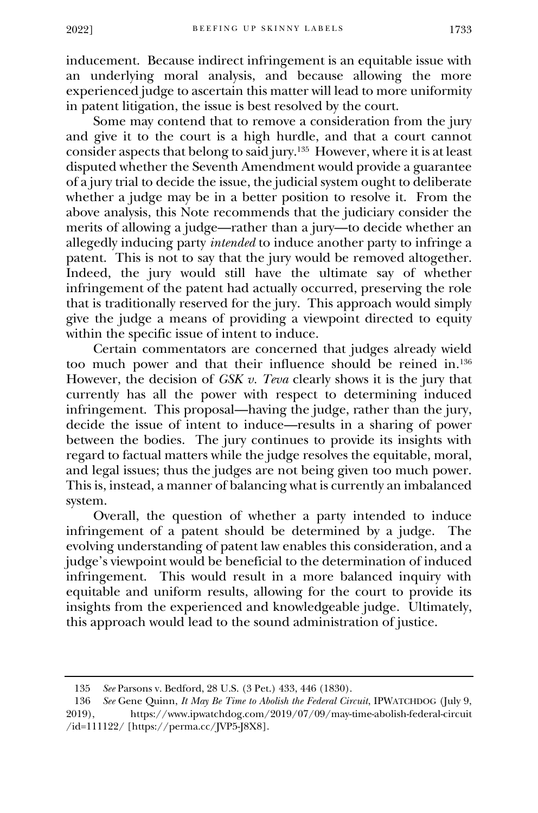inducement. Because indirect infringement is an equitable issue with an underlying moral analysis, and because allowing the more experienced judge to ascertain this matter will lead to more uniformity in patent litigation, the issue is best resolved by the court.

Some may contend that to remove a consideration from the jury and give it to the court is a high hurdle, and that a court cannot consider aspects that belong to said jury.<sup>135</sup> However, where it is at least disputed whether the Seventh Amendment would provide a guarantee of a jury trial to decide the issue, the judicial system ought to deliberate whether a judge may be in a better position to resolve it. From the above analysis, this Note recommends that the judiciary consider the merits of allowing a judge—rather than a jury—to decide whether an allegedly inducing party *intended* to induce another party to infringe a patent. This is not to say that the jury would be removed altogether. Indeed, the jury would still have the ultimate say of whether infringement of the patent had actually occurred, preserving the role that is traditionally reserved for the jury. This approach would simply give the judge a means of providing a viewpoint directed to equity within the specific issue of intent to induce.

Certain commentators are concerned that judges already wield too much power and that their influence should be reined in.<sup>136</sup> However, the decision of *GSK v. Teva* clearly shows it is the jury that currently has all the power with respect to determining induced infringement. This proposal—having the judge, rather than the jury, decide the issue of intent to induce—results in a sharing of power between the bodies. The jury continues to provide its insights with regard to factual matters while the judge resolves the equitable, moral, and legal issues; thus the judges are not being given too much power. This is, instead, a manner of balancing what is currently an imbalanced system.

Overall, the question of whether a party intended to induce infringement of a patent should be determined by a judge. The evolving understanding of patent law enables this consideration, and a judge's viewpoint would be beneficial to the determination of induced infringement. This would result in a more balanced inquiry with equitable and uniform results, allowing for the court to provide its insights from the experienced and knowledgeable judge. Ultimately, this approach would lead to the sound administration of justice.

<sup>135</sup> *See* Parsons v. Bedford, 28 U.S. (3 Pet.) 433, 446 (1830).

<sup>136</sup> *See* Gene Quinn, *It May Be Time to Abolish the Federal Circuit*, IPWATCHDOG (July 9, 2019), https://www.ipwatchdog.com/2019/07/09/may-time-abolish-federal-circuit /id=111122/ [https://perma.cc/JVP5-J8X8].